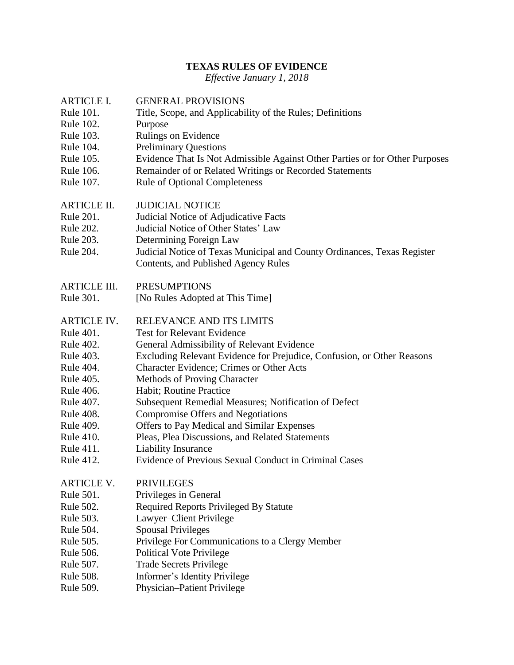# **TEXAS RULES OF EVIDENCE**

*Effective January 1, 2018*

| Remainder of or Related Writings or Recorded Statements<br>Rule 106.<br>Rule 107.<br><b>Rule of Optional Completeness</b>                                                                                                                                                                                                                                                                                                                                                                                                                                                                         |
|---------------------------------------------------------------------------------------------------------------------------------------------------------------------------------------------------------------------------------------------------------------------------------------------------------------------------------------------------------------------------------------------------------------------------------------------------------------------------------------------------------------------------------------------------------------------------------------------------|
| <b>ARTICLE II.</b><br><b>JUDICIAL NOTICE</b><br><b>Rule 201.</b><br>Judicial Notice of Adjudicative Facts<br><b>Rule 202.</b><br>Judicial Notice of Other States' Law<br><b>Rule 203.</b><br>Determining Foreign Law<br>Rule 204.<br>Judicial Notice of Texas Municipal and County Ordinances, Texas Register<br>Contents, and Published Agency Rules                                                                                                                                                                                                                                             |
| <b>ARTICLE III.</b><br><b>PRESUMPTIONS</b><br>Rule 301.<br>[No Rules Adopted at This Time]                                                                                                                                                                                                                                                                                                                                                                                                                                                                                                        |
| RELEVANCE AND ITS LIMITS<br><b>ARTICLE IV.</b><br>Rule 401.<br><b>Test for Relevant Evidence</b><br>Rule 402.<br>General Admissibility of Relevant Evidence<br>Excluding Relevant Evidence for Prejudice, Confusion, or Other Reasons<br>Rule 403.<br><b>Character Evidence; Crimes or Other Acts</b><br>Rule 404.<br>Rule 405.<br>Methods of Proving Character<br>Habit; Routine Practice<br>Rule 406.<br>Rule 407.<br>Subsequent Remedial Measures; Notification of Defect<br>Compromise Offers and Negotiations<br><b>Rule 408.</b><br>Offers to Pay Medical and Similar Expenses<br>Rule 409. |
| Rule 410.<br>Pleas, Plea Discussions, and Related Statements                                                                                                                                                                                                                                                                                                                                                                                                                                                                                                                                      |
| Rule 411.<br><b>Liability Insurance</b><br>Evidence of Previous Sexual Conduct in Criminal Cases<br>Rule 412.                                                                                                                                                                                                                                                                                                                                                                                                                                                                                     |
| <b>ARTICLE V.</b><br><b>PRIVILEGES</b><br>Privileges in General<br><b>Rule 501.</b>                                                                                                                                                                                                                                                                                                                                                                                                                                                                                                               |
| <b>Required Reports Privileged By Statute</b><br>Rule 502.                                                                                                                                                                                                                                                                                                                                                                                                                                                                                                                                        |
| Lawyer-Client Privilege<br>Rule 503.                                                                                                                                                                                                                                                                                                                                                                                                                                                                                                                                                              |
| <b>Spousal Privileges</b><br>Rule 504.                                                                                                                                                                                                                                                                                                                                                                                                                                                                                                                                                            |
| Rule 505.<br>Privilege For Communications to a Clergy Member                                                                                                                                                                                                                                                                                                                                                                                                                                                                                                                                      |
| <b>Political Vote Privilege</b><br>Rule 506.                                                                                                                                                                                                                                                                                                                                                                                                                                                                                                                                                      |
| <b>Trade Secrets Privilege</b><br>Rule 507.                                                                                                                                                                                                                                                                                                                                                                                                                                                                                                                                                       |
| <b>Rule 508.</b><br>Informer's Identity Privilege                                                                                                                                                                                                                                                                                                                                                                                                                                                                                                                                                 |
| Physician-Patient Privilege<br>Rule 509.                                                                                                                                                                                                                                                                                                                                                                                                                                                                                                                                                          |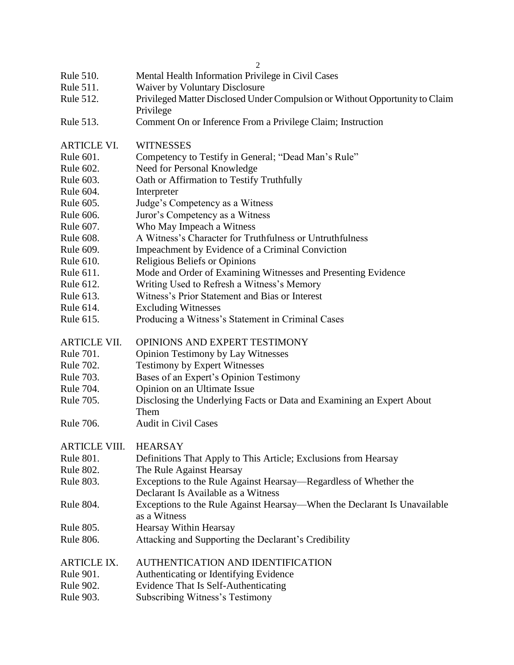|                      | $\overline{c}$                                                                                          |
|----------------------|---------------------------------------------------------------------------------------------------------|
| Rule 510.            | Mental Health Information Privilege in Civil Cases                                                      |
| Rule 511.            | Waiver by Voluntary Disclosure                                                                          |
| Rule 512.            | Privileged Matter Disclosed Under Compulsion or Without Opportunity to Claim<br>Privilege               |
| Rule 513.            | Comment On or Inference From a Privilege Claim; Instruction                                             |
| <b>ARTICLE VI.</b>   | <b>WITNESSES</b>                                                                                        |
| Rule 601.            | Competency to Testify in General; "Dead Man's Rule"                                                     |
| Rule 602.            | Need for Personal Knowledge                                                                             |
| Rule 603.            | Oath or Affirmation to Testify Truthfully                                                               |
| Rule 604.            | Interpreter                                                                                             |
| Rule 605.            | Judge's Competency as a Witness                                                                         |
| Rule 606.            | Juror's Competency as a Witness                                                                         |
| Rule 607.            | Who May Impeach a Witness                                                                               |
| Rule 608.            | A Witness's Character for Truthfulness or Untruthfulness                                                |
| Rule 609.            | Impeachment by Evidence of a Criminal Conviction                                                        |
| Rule 610.            | Religious Beliefs or Opinions                                                                           |
| Rule 611.            | Mode and Order of Examining Witnesses and Presenting Evidence                                           |
| Rule 612.            | Writing Used to Refresh a Witness's Memory                                                              |
| Rule 613.            | Witness's Prior Statement and Bias or Interest                                                          |
| Rule 614.            | <b>Excluding Witnesses</b>                                                                              |
| Rule 615.            | Producing a Witness's Statement in Criminal Cases                                                       |
| <b>ARTICLE VII.</b>  | OPINIONS AND EXPERT TESTIMONY                                                                           |
| <b>Rule 701.</b>     | <b>Opinion Testimony by Lay Witnesses</b>                                                               |
| Rule 702.            | <b>Testimony by Expert Witnesses</b>                                                                    |
| Rule 703.            | Bases of an Expert's Opinion Testimony                                                                  |
| Rule 704.            | Opinion on an Ultimate Issue                                                                            |
| Rule 705.            | Disclosing the Underlying Facts or Data and Examining an Expert About<br>Them                           |
| Rule 706.            | Audit in Civil Cases                                                                                    |
| <b>ARTICLE VIII.</b> | <b>HEARSAY</b>                                                                                          |
| <b>Rule 801.</b>     | Definitions That Apply to This Article; Exclusions from Hearsay                                         |
| <b>Rule 802.</b>     | The Rule Against Hearsay                                                                                |
| Rule 803.            | Exceptions to the Rule Against Hearsay—Regardless of Whether the<br>Declarant Is Available as a Witness |
| Rule 804.            | Exceptions to the Rule Against Hearsay—When the Declarant Is Unavailable<br>as a Witness                |
| Rule 805.            | Hearsay Within Hearsay                                                                                  |
| <b>Rule 806.</b>     | Attacking and Supporting the Declarant's Credibility                                                    |
| <b>ARTICLE IX.</b>   | AUTHENTICATION AND IDENTIFICATION                                                                       |
| Rule 901.            | Authenticating or Identifying Evidence                                                                  |
| Rule 902.            | Evidence That Is Self-Authenticating                                                                    |
| Rule 903.            | <b>Subscribing Witness's Testimony</b>                                                                  |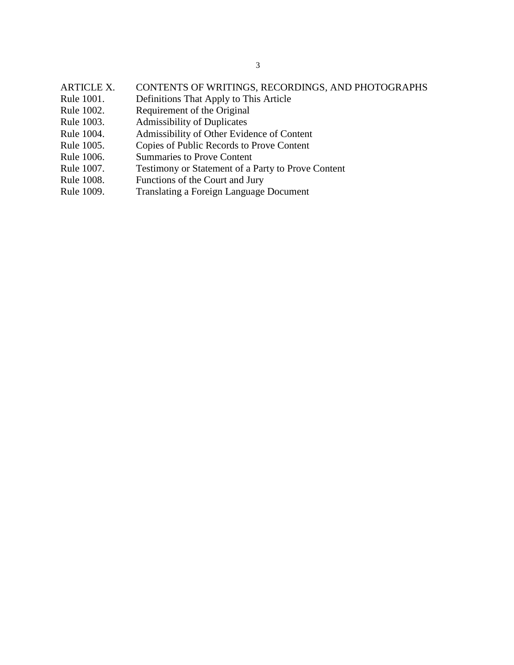- Rule 1001. Definitions That Apply to This Article
- Rule 1002. Requirement of the Original
- Rule 1003. Admissibility of Duplicates
- [Rule 1004. Admissibility of Other Evidence of Content](#page-55-0)
- [Rule 1005. Copies of Public Records to Prove Content](#page-56-0)
- Rule 1006. Summaries to Prove Content
- [Rule 1007. Testimony or Statement of a Party to Prove Content](#page-56-0)
- Rule 1008. Functions of the Court and Jury
- Rule 1009. [Translating a Foreign Language Document](#page-57-0)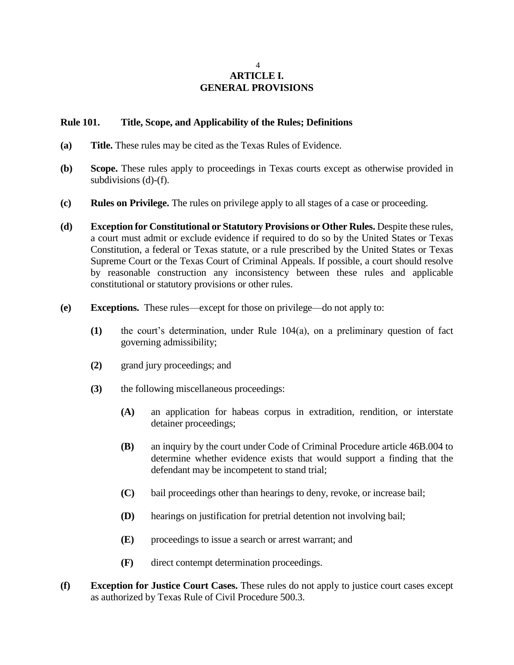### 4 **ARTICLE I. GENERAL PROVISIONS**

### <span id="page-3-0"></span>**Rule 101. Title, Scope, and Applicability of the Rules; Definitions**

- **(a) Title.** These rules may be cited as the Texas Rules of Evidence.
- **(b) Scope.** These rules apply to proceedings in Texas courts except as otherwise provided in subdivisions (d)-(f).
- **(c) Rules on Privilege.** The rules on privilege apply to all stages of a case or proceeding.
- **(d) Exception for Constitutional or Statutory Provisions or Other Rules.** Despite these rules, a court must admit or exclude evidence if required to do so by the United States or Texas Constitution, a federal or Texas statute, or a rule prescribed by the United States or Texas Supreme Court or the Texas Court of Criminal Appeals. If possible, a court should resolve by reasonable construction any inconsistency between these rules and applicable constitutional or statutory provisions or other rules.
- **(e) Exceptions.** These rules—except for those on privilege—do not apply to:
	- **(1)** the court's determination, under Rule 104(a), on a preliminary question of fact governing admissibility;
	- **(2)** grand jury proceedings; and
	- **(3)** the following miscellaneous proceedings:
		- **(A)** an application for habeas corpus in extradition, rendition, or interstate detainer proceedings;
		- **(B)** an inquiry by the court under Code of Criminal Procedure article 46B.004 to determine whether evidence exists that would support a finding that the defendant may be incompetent to stand trial;
		- **(C)** bail proceedings other than hearings to deny, revoke, or increase bail;
		- **(D)** hearings on justification for pretrial detention not involving bail;
		- **(E)** proceedings to issue a search or arrest warrant; and
		- **(F)** direct contempt determination proceedings.
- **(f) Exception for Justice Court Cases.** These rules do not apply to justice court cases except as authorized by Texas Rule of Civil Procedure 500.3.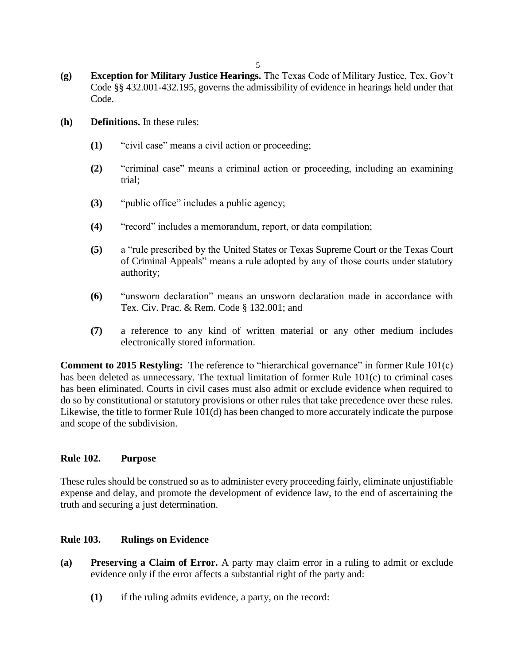- <span id="page-4-0"></span>**(g) Exception for Military Justice Hearings.** The Texas Code of Military Justice, Tex. Gov't Code §§ 432.001-432.195, governs the admissibility of evidence in hearings held under that Code.
- **(h) Definitions.** In these rules:
	- **(1)** "civil case" means a civil action or proceeding;
	- **(2)** "criminal case" means a criminal action or proceeding, including an examining trial;
	- **(3)** "public office" includes a public agency;
	- **(4)** "record" includes a memorandum, report, or data compilation;
	- **(5)** a "rule prescribed by the United States or Texas Supreme Court or the Texas Court of Criminal Appeals" means a rule adopted by any of those courts under statutory authority;
	- **(6)** "unsworn declaration" means an unsworn declaration made in accordance with Tex. Civ. Prac. & Rem. Code § 132.001; and
	- **(7)** a reference to any kind of written material or any other medium includes electronically stored information.

**Comment to 2015 Restyling:** The reference to "hierarchical governance" in former Rule 101(c) has been deleted as unnecessary. The textual limitation of former Rule 101(c) to criminal cases has been eliminated. Courts in civil cases must also admit or exclude evidence when required to do so by constitutional or statutory provisions or other rules that take precedence over these rules. Likewise, the title to former Rule 101(d) has been changed to more accurately indicate the purpose and scope of the subdivision.

### **Rule 102. Purpose**

These rules should be construed so as to administer every proceeding fairly, eliminate unjustifiable expense and delay, and promote the development of evidence law, to the end of ascertaining the truth and securing a just determination.

### **Rule 103. Rulings on Evidence**

- **(a) Preserving a Claim of Error.** A party may claim error in a ruling to admit or exclude evidence only if the error affects a substantial right of the party and:
	- **(1)** if the ruling admits evidence, a party, on the record: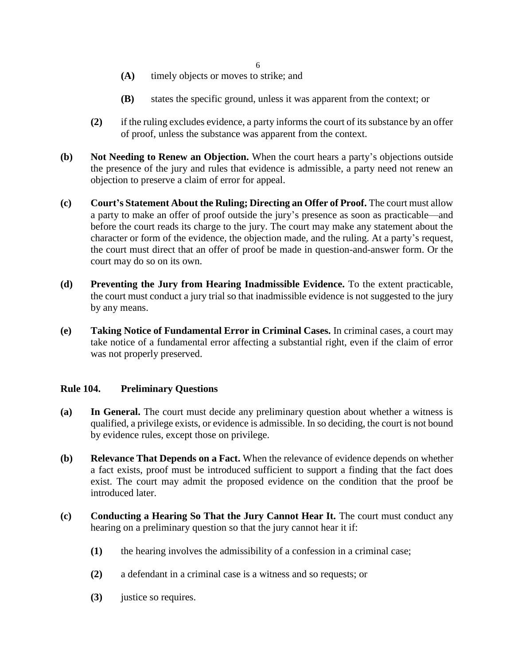- <span id="page-5-0"></span>**(A)** timely objects or moves to strike; and
- **(B)** states the specific ground, unless it was apparent from the context; or
- **(2)** if the ruling excludes evidence, a party informs the court of its substance by an offer of proof, unless the substance was apparent from the context.
- **(b) Not Needing to Renew an Objection.** When the court hears a party's objections outside the presence of the jury and rules that evidence is admissible, a party need not renew an objection to preserve a claim of error for appeal.
- **(c) Court's Statement About the Ruling; Directing an Offer of Proof.** The court must allow a party to make an offer of proof outside the jury's presence as soon as practicable—and before the court reads its charge to the jury. The court may make any statement about the character or form of the evidence, the objection made, and the ruling. At a party's request, the court must direct that an offer of proof be made in question-and-answer form. Or the court may do so on its own.
- **(d) Preventing the Jury from Hearing Inadmissible Evidence.** To the extent practicable, the court must conduct a jury trial so that inadmissible evidence is not suggested to the jury by any means.
- **(e) Taking Notice of Fundamental Error in Criminal Cases.** In criminal cases, a court may take notice of a fundamental error affecting a substantial right, even if the claim of error was not properly preserved.

## **Rule 104. Preliminary Questions**

- **(a) In General.** The court must decide any preliminary question about whether a witness is qualified, a privilege exists, or evidence is admissible. In so deciding, the court is not bound by evidence rules, except those on privilege.
- **(b) Relevance That Depends on a Fact.** When the relevance of evidence depends on whether a fact exists, proof must be introduced sufficient to support a finding that the fact does exist. The court may admit the proposed evidence on the condition that the proof be introduced later.
- **(c) Conducting a Hearing So That the Jury Cannot Hear It.** The court must conduct any hearing on a preliminary question so that the jury cannot hear it if:
	- **(1)** the hearing involves the admissibility of a confession in a criminal case;
	- **(2)** a defendant in a criminal case is a witness and so requests; or
	- **(3)** justice so requires.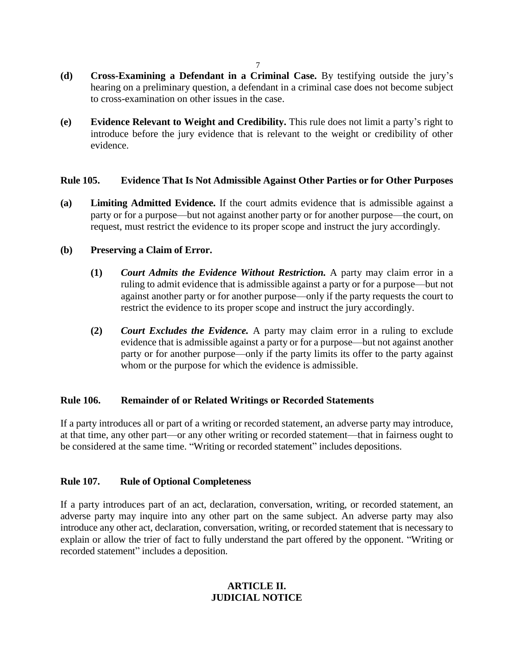- <span id="page-6-0"></span>**(d) Cross-Examining a Defendant in a Criminal Case.** By testifying outside the jury's hearing on a preliminary question, a defendant in a criminal case does not become subject to cross-examination on other issues in the case.
- **(e) Evidence Relevant to Weight and Credibility.** This rule does not limit a party's right to introduce before the jury evidence that is relevant to the weight or credibility of other evidence.

### **Rule 105. Evidence That Is Not Admissible Against Other Parties or for Other Purposes**

**(a) Limiting Admitted Evidence.** If the court admits evidence that is admissible against a party or for a purpose—but not against another party or for another purpose—the court, on request, must restrict the evidence to its proper scope and instruct the jury accordingly.

### **(b) Preserving a Claim of Error.**

- **(1)** *Court Admits the Evidence Without Restriction.* A party may claim error in a ruling to admit evidence that is admissible against a party or for a purpose—but not against another party or for another purpose—only if the party requests the court to restrict the evidence to its proper scope and instruct the jury accordingly.
- **(2)** *Court Excludes the Evidence.* A party may claim error in a ruling to exclude evidence that is admissible against a party or for a purpose—but not against another party or for another purpose—only if the party limits its offer to the party against whom or the purpose for which the evidence is admissible.

## **Rule 106. Remainder of or Related Writings or Recorded Statements**

If a party introduces all or part of a writing or recorded statement, an adverse party may introduce, at that time, any other part—or any other writing or recorded statement—that in fairness ought to be considered at the same time. "Writing or recorded statement" includes depositions.

### **Rule 107. Rule of Optional Completeness**

If a party introduces part of an act, declaration, conversation, writing, or recorded statement, an adverse party may inquire into any other part on the same subject. An adverse party may also introduce any other act, declaration, conversation, writing, or recorded statement that is necessary to explain or allow the trier of fact to fully understand the part offered by the opponent. "Writing or recorded statement" includes a deposition.

## **ARTICLE II. JUDICIAL NOTICE**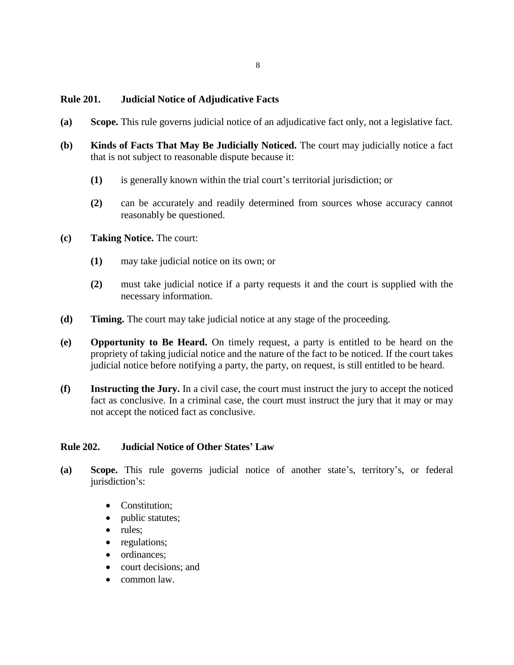### <span id="page-7-0"></span>**Rule 201. Judicial Notice of Adjudicative Facts**

- **(a) Scope.** This rule governs judicial notice of an adjudicative fact only, not a legislative fact.
- **(b) Kinds of Facts That May Be Judicially Noticed.** The court may judicially notice a fact that is not subject to reasonable dispute because it:
	- **(1)** is generally known within the trial court's territorial jurisdiction; or
	- **(2)** can be accurately and readily determined from sources whose accuracy cannot reasonably be questioned.
- **(c) Taking Notice.** The court:
	- **(1)** may take judicial notice on its own; or
	- **(2)** must take judicial notice if a party requests it and the court is supplied with the necessary information.
- **(d) Timing.** The court may take judicial notice at any stage of the proceeding.
- **(e) Opportunity to Be Heard.** On timely request, a party is entitled to be heard on the propriety of taking judicial notice and the nature of the fact to be noticed. If the court takes judicial notice before notifying a party, the party, on request, is still entitled to be heard.
- **(f) Instructing the Jury.** In a civil case, the court must instruct the jury to accept the noticed fact as conclusive. In a criminal case, the court must instruct the jury that it may or may not accept the noticed fact as conclusive.

### **Rule 202. Judicial Notice of Other States' Law**

- **(a) Scope.** This rule governs judicial notice of another state's, territory's, or federal jurisdiction's:
	- Constitution:
	- public statutes;
	- rules:
	- regulations;
	- ordinances;
	- court decisions; and
	- common law.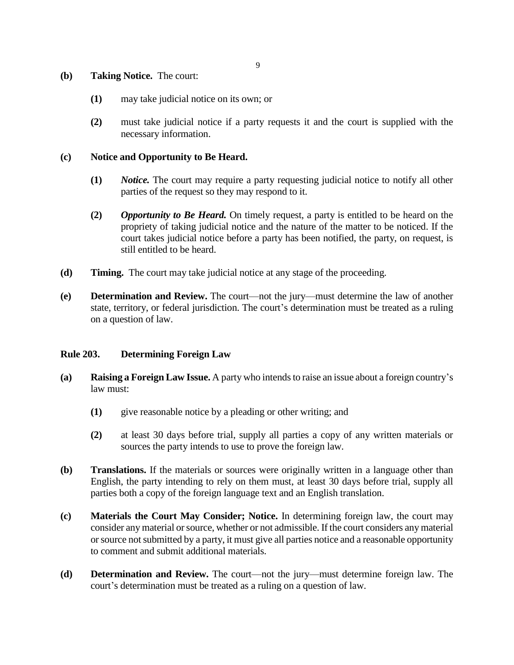<span id="page-8-0"></span>**(b) Taking Notice.** The court:

- **(1)** may take judicial notice on its own; or
- **(2)** must take judicial notice if a party requests it and the court is supplied with the necessary information.

### **(c) Notice and Opportunity to Be Heard.**

- **(1)** *Notice.* The court may require a party requesting judicial notice to notify all other parties of the request so they may respond to it.
- **(2)** *Opportunity to Be Heard.* On timely request, a party is entitled to be heard on the propriety of taking judicial notice and the nature of the matter to be noticed. If the court takes judicial notice before a party has been notified, the party, on request, is still entitled to be heard.
- **(d) Timing.** The court may take judicial notice at any stage of the proceeding.
- **(e) Determination and Review.** The court—not the jury—must determine the law of another state, territory, or federal jurisdiction. The court's determination must be treated as a ruling on a question of law.

## **Rule 203. Determining Foreign Law**

- **(a) Raising a Foreign Law Issue.** A party who intends to raise an issue about a foreign country's law must:
	- **(1)** give reasonable notice by a pleading or other writing; and
	- **(2)** at least 30 days before trial, supply all parties a copy of any written materials or sources the party intends to use to prove the foreign law.
- **(b) Translations.** If the materials or sources were originally written in a language other than English, the party intending to rely on them must, at least 30 days before trial, supply all parties both a copy of the foreign language text and an English translation.
- **(c) Materials the Court May Consider; Notice.** In determining foreign law, the court may consider any material or source, whether or not admissible. If the court considers any material or source not submitted by a party, it must give all parties notice and a reasonable opportunity to comment and submit additional materials.
- **(d) Determination and Review.** The court—not the jury—must determine foreign law. The court's determination must be treated as a ruling on a question of law.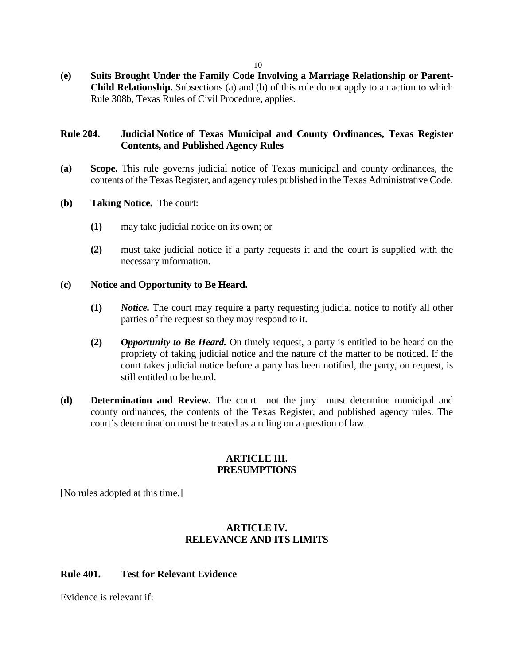<span id="page-9-0"></span>**(e) Suits Brought Under the Family Code Involving a Marriage Relationship or Parent-Child Relationship.** Subsections (a) and (b) of this rule do not apply to an action to which Rule 308b, Texas Rules of Civil Procedure, applies.

## **Rule 204. Judicial Notice of Texas Municipal and County Ordinances, Texas Register Contents, and Published Agency Rules**

- **(a) Scope.** This rule governs judicial notice of Texas municipal and county ordinances, the contents of the Texas Register, and agency rules published in the Texas Administrative Code.
- **(b) Taking Notice.** The court:
	- **(1)** may take judicial notice on its own; or
	- **(2)** must take judicial notice if a party requests it and the court is supplied with the necessary information.

### **(c) Notice and Opportunity to Be Heard.**

- **(1)** *Notice.* The court may require a party requesting judicial notice to notify all other parties of the request so they may respond to it.
- **(2)** *Opportunity to Be Heard.* On timely request, a party is entitled to be heard on the propriety of taking judicial notice and the nature of the matter to be noticed. If the court takes judicial notice before a party has been notified, the party, on request, is still entitled to be heard.
- **(d) Determination and Review.** The court—not the jury—must determine municipal and county ordinances, the contents of the Texas Register, and published agency rules. The court's determination must be treated as a ruling on a question of law.

### **ARTICLE III. PRESUMPTIONS**

[No rules adopted at this time.]

## **ARTICLE IV. RELEVANCE AND ITS LIMITS**

## **Rule 401. Test for Relevant Evidence**

Evidence is relevant if: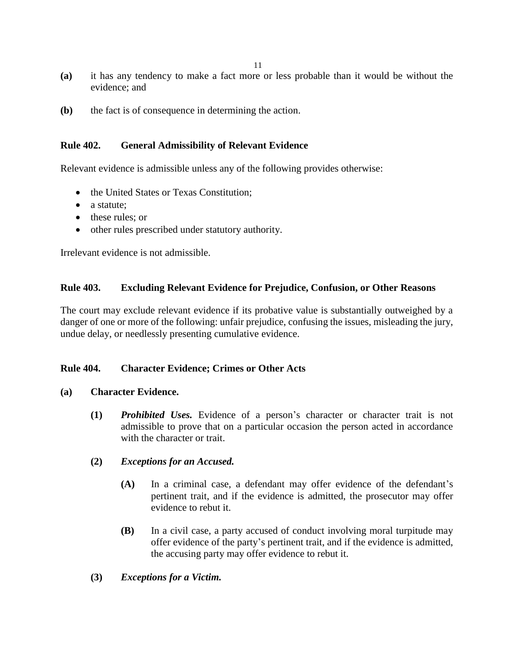- <span id="page-10-0"></span>**(a)** it has any tendency to make a fact more or less probable than it would be without the evidence; and
- **(b)** the fact is of consequence in determining the action.

## **Rule 402. General Admissibility of Relevant Evidence**

Relevant evidence is admissible unless any of the following provides otherwise:

- the United States or Texas Constitution;
- a statute:
- these rules; or
- other rules prescribed under statutory authority.

Irrelevant evidence is not admissible.

### **Rule 403. Excluding Relevant Evidence for Prejudice, Confusion, or Other Reasons**

The court may exclude relevant evidence if its probative value is substantially outweighed by a danger of one or more of the following: unfair prejudice, confusing the issues, misleading the jury, undue delay, or needlessly presenting cumulative evidence.

### **Rule 404. Character Evidence; Crimes or Other Acts**

### **(a) Character Evidence.**

- **(1)** *Prohibited Uses.* Evidence of a person's character or character trait is not admissible to prove that on a particular occasion the person acted in accordance with the character or trait.
- **(2)** *Exceptions for an Accused.*
	- **(A)** In a criminal case, a defendant may offer evidence of the defendant's pertinent trait, and if the evidence is admitted, the prosecutor may offer evidence to rebut it.
	- **(B)** In a civil case, a party accused of conduct involving moral turpitude may offer evidence of the party's pertinent trait, and if the evidence is admitted, the accusing party may offer evidence to rebut it.
- **(3)** *Exceptions for a Victim.*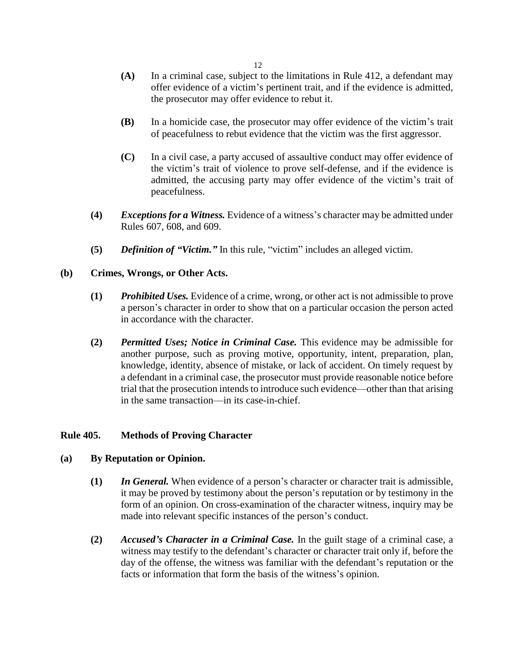- <span id="page-11-0"></span>**(A)** In a criminal case, subject to the limitations in Rule 412, a defendant may offer evidence of a victim's pertinent trait, and if the evidence is admitted, the prosecutor may offer evidence to rebut it.
- **(B)** In a homicide case, the prosecutor may offer evidence of the victim's trait of peacefulness to rebut evidence that the victim was the first aggressor.
- **(C)** In a civil case, a party accused of assaultive conduct may offer evidence of the victim's trait of violence to prove self-defense, and if the evidence is admitted, the accusing party may offer evidence of the victim's trait of peacefulness.
- **(4)** *Exceptions for a Witness.* Evidence of a witness's character may be admitted under Rules 607, 608, and 609.
- **(5)** *Definition of "Victim."* In this rule, "victim" includes an alleged victim.

## **(b) Crimes, Wrongs, or Other Acts.**

- **(1)** *Prohibited Uses.* Evidence of a crime, wrong, or other act is not admissible to prove a person's character in order to show that on a particular occasion the person acted in accordance with the character.
- **(2)** *Permitted Uses; Notice in Criminal Case.* This evidence may be admissible for another purpose, such as proving motive, opportunity, intent, preparation, plan, knowledge, identity, absence of mistake, or lack of accident. On timely request by a defendant in a criminal case, the prosecutor must provide reasonable notice before trial that the prosecution intends to introduce such evidence—other than that arising in the same transaction—in its case-in-chief.

## **Rule 405. Methods of Proving Character**

## **(a) By Reputation or Opinion.**

- **(1)** *In General.* When evidence of a person's character or character trait is admissible, it may be proved by testimony about the person's reputation or by testimony in the form of an opinion. On cross-examination of the character witness, inquiry may be made into relevant specific instances of the person's conduct.
- **(2)** *Accused's Character in a Criminal Case.* In the guilt stage of a criminal case, a witness may testify to the defendant's character or character trait only if, before the day of the offense, the witness was familiar with the defendant's reputation or the facts or information that form the basis of the witness's opinion.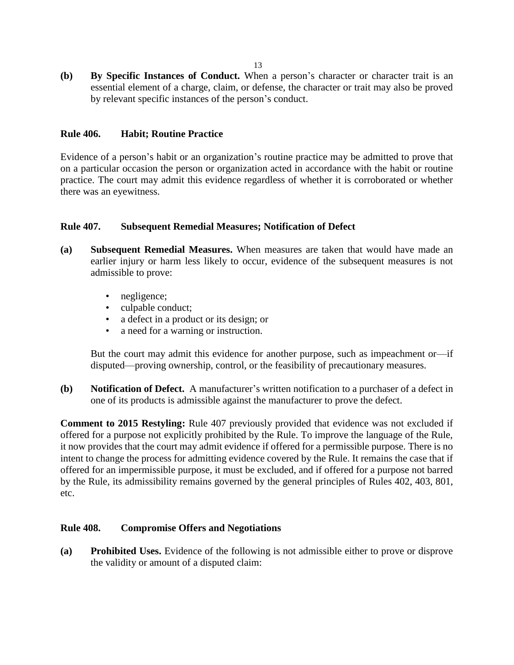13

<span id="page-12-0"></span>**(b) By Specific Instances of Conduct.** When a person's character or character trait is an essential element of a charge, claim, or defense, the character or trait may also be proved by relevant specific instances of the person's conduct.

## **Rule 406. Habit; Routine Practice**

Evidence of a person's habit or an organization's routine practice may be admitted to prove that on a particular occasion the person or organization acted in accordance with the habit or routine practice. The court may admit this evidence regardless of whether it is corroborated or whether there was an eyewitness.

## **Rule 407. Subsequent Remedial Measures; Notification of Defect**

- **(a) Subsequent Remedial Measures.** When measures are taken that would have made an earlier injury or harm less likely to occur, evidence of the subsequent measures is not admissible to prove:
	- negligence;
	- culpable conduct;
	- a defect in a product or its design; or
	- a need for a warning or instruction.

But the court may admit this evidence for another purpose, such as impeachment or—if disputed—proving ownership, control, or the feasibility of precautionary measures.

**(b) Notification of Defect.** A manufacturer's written notification to a purchaser of a defect in one of its products is admissible against the manufacturer to prove the defect.

**Comment to 2015 Restyling:** Rule 407 previously provided that evidence was not excluded if offered for a purpose not explicitly prohibited by the Rule. To improve the language of the Rule, it now provides that the court may admit evidence if offered for a permissible purpose. There is no intent to change the process for admitting evidence covered by the Rule. It remains the case that if offered for an impermissible purpose, it must be excluded, and if offered for a purpose not barred by the Rule, its admissibility remains governed by the general principles of Rules 402, 403, 801, etc.

# **Rule 408. Compromise Offers and Negotiations**

**(a) Prohibited Uses.** Evidence of the following is not admissible either to prove or disprove the validity or amount of a disputed claim: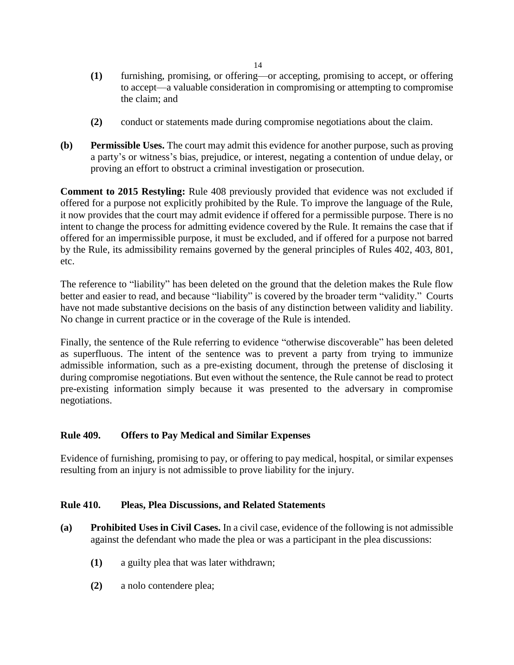- <span id="page-13-0"></span>**(1)** furnishing, promising, or offering—or accepting, promising to accept, or offering to accept—a valuable consideration in compromising or attempting to compromise the claim; and
- **(2)** conduct or statements made during compromise negotiations about the claim.
- **(b) Permissible Uses.** The court may admit this evidence for another purpose, such as proving a party's or witness's bias, prejudice, or interest, negating a contention of undue delay, or proving an effort to obstruct a criminal investigation or prosecution.

**Comment to 2015 Restyling:** Rule 408 previously provided that evidence was not excluded if offered for a purpose not explicitly prohibited by the Rule. To improve the language of the Rule, it now provides that the court may admit evidence if offered for a permissible purpose. There is no intent to change the process for admitting evidence covered by the Rule. It remains the case that if offered for an impermissible purpose, it must be excluded, and if offered for a purpose not barred by the Rule, its admissibility remains governed by the general principles of Rules 402, 403, 801, etc.

The reference to "liability" has been deleted on the ground that the deletion makes the Rule flow better and easier to read, and because "liability" is covered by the broader term "validity." Courts have not made substantive decisions on the basis of any distinction between validity and liability. No change in current practice or in the coverage of the Rule is intended.

Finally, the sentence of the Rule referring to evidence "otherwise discoverable" has been deleted as superfluous. The intent of the sentence was to prevent a party from trying to immunize admissible information, such as a pre-existing document, through the pretense of disclosing it during compromise negotiations. But even without the sentence, the Rule cannot be read to protect pre-existing information simply because it was presented to the adversary in compromise negotiations.

# **Rule 409. Offers to Pay Medical and Similar Expenses**

Evidence of furnishing, promising to pay, or offering to pay medical, hospital, or similar expenses resulting from an injury is not admissible to prove liability for the injury.

## **Rule 410. Pleas, Plea Discussions, and Related Statements**

- **(a) Prohibited Uses in Civil Cases.** In a civil case, evidence of the following is not admissible against the defendant who made the plea or was a participant in the plea discussions:
	- **(1)** a guilty plea that was later withdrawn;
	- **(2)** a nolo contendere plea;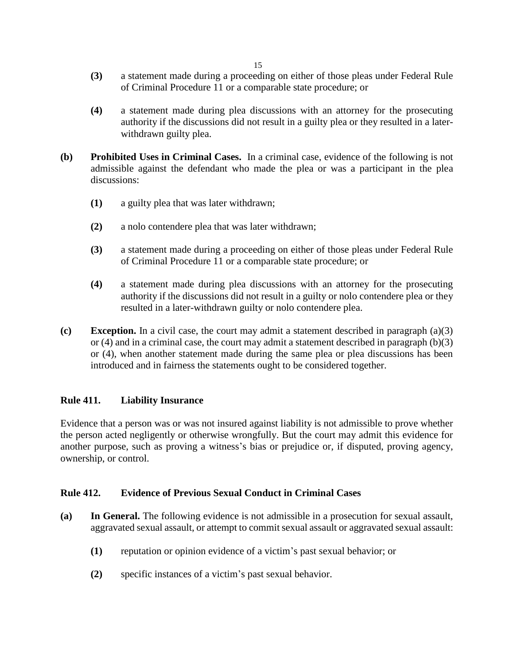- <span id="page-14-0"></span>**(3)** a statement made during a proceeding on either of those pleas under Federal Rule of Criminal Procedure 11 or a comparable state procedure; or
- **(4)** a statement made during plea discussions with an attorney for the prosecuting authority if the discussions did not result in a guilty plea or they resulted in a laterwithdrawn guilty plea.
- **(b) Prohibited Uses in Criminal Cases.** In a criminal case, evidence of the following is not admissible against the defendant who made the plea or was a participant in the plea discussions:
	- **(1)** a guilty plea that was later withdrawn;
	- **(2)** a nolo contendere plea that was later withdrawn;
	- **(3)** a statement made during a proceeding on either of those pleas under Federal Rule of Criminal Procedure 11 or a comparable state procedure; or
	- **(4)** a statement made during plea discussions with an attorney for the prosecuting authority if the discussions did not result in a guilty or nolo contendere plea or they resulted in a later-withdrawn guilty or nolo contendere plea.
- **(c) Exception.** In a civil case, the court may admit a statement described in paragraph (a)(3) or (4) and in a criminal case, the court may admit a statement described in paragraph (b)(3) or (4), when another statement made during the same plea or plea discussions has been introduced and in fairness the statements ought to be considered together.

## **Rule 411. Liability Insurance**

Evidence that a person was or was not insured against liability is not admissible to prove whether the person acted negligently or otherwise wrongfully. But the court may admit this evidence for another purpose, such as proving a witness's bias or prejudice or, if disputed, proving agency, ownership, or control.

# **Rule 412. Evidence of Previous Sexual Conduct in Criminal Cases**

- **(a) In General.** The following evidence is not admissible in a prosecution for sexual assault, aggravated sexual assault, or attempt to commit sexual assault or aggravated sexual assault:
	- **(1)** reputation or opinion evidence of a victim's past sexual behavior; or
	- **(2)** specific instances of a victim's past sexual behavior.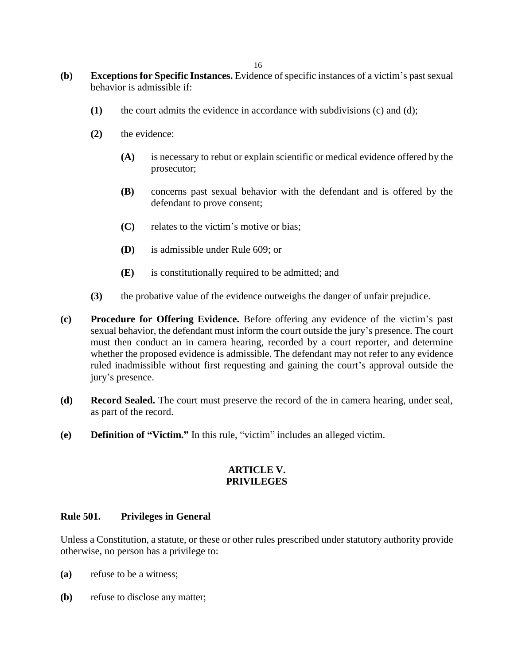- <span id="page-15-0"></span>**(b) Exceptions for Specific Instances.** Evidence of specific instances of a victim's past sexual behavior is admissible if:
	- **(1)** the court admits the evidence in accordance with subdivisions (c) and (d);
	- **(2)** the evidence:
		- **(A)** is necessary to rebut or explain scientific or medical evidence offered by the prosecutor;
		- **(B)** concerns past sexual behavior with the defendant and is offered by the defendant to prove consent;
		- **(C)** relates to the victim's motive or bias;
		- **(D)** is admissible under Rule 609; or
		- **(E)** is constitutionally required to be admitted; and
	- **(3)** the probative value of the evidence outweighs the danger of unfair prejudice.
- **(c) Procedure for Offering Evidence.** Before offering any evidence of the victim's past sexual behavior, the defendant must inform the court outside the jury's presence. The court must then conduct an in camera hearing, recorded by a court reporter, and determine whether the proposed evidence is admissible. The defendant may not refer to any evidence ruled inadmissible without first requesting and gaining the court's approval outside the jury's presence.
- **(d) Record Sealed.** The court must preserve the record of the in camera hearing, under seal, as part of the record.
- **(e) Definition of "Victim."** In this rule, "victim" includes an alleged victim.

### **ARTICLE V. PRIVILEGES**

### **Rule 501. Privileges in General**

Unless a Constitution, a statute, or these or other rules prescribed under statutory authority provide otherwise, no person has a privilege to:

- **(a)** refuse to be a witness;
- **(b)** refuse to disclose any matter;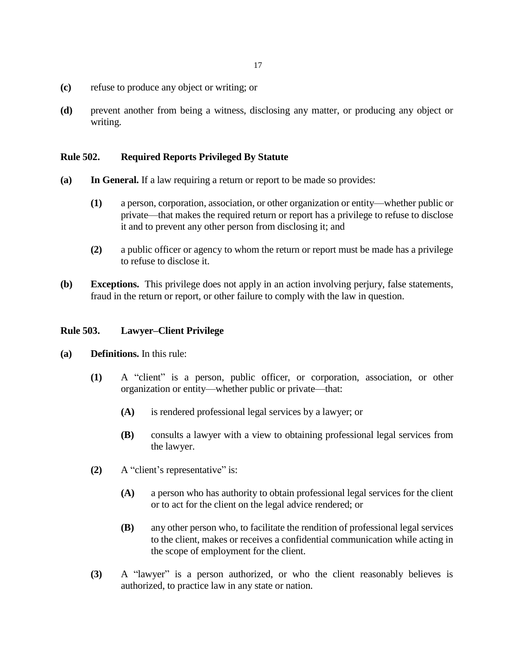- <span id="page-16-0"></span>**(c)** refuse to produce any object or writing; or
- **(d)** prevent another from being a witness, disclosing any matter, or producing any object or writing.

### **Rule 502. Required Reports Privileged By Statute**

- **(a) In General.** If a law requiring a return or report to be made so provides:
	- **(1)** a person, corporation, association, or other organization or entity—whether public or private—that makes the required return or report has a privilege to refuse to disclose it and to prevent any other person from disclosing it; and
	- **(2)** a public officer or agency to whom the return or report must be made has a privilege to refuse to disclose it.
- **(b) Exceptions.** This privilege does not apply in an action involving perjury, false statements, fraud in the return or report, or other failure to comply with the law in question.

#### **Rule 503. Lawyer–Client Privilege**

- **(a) Definitions.** In this rule:
	- **(1)** A "client" is a person, public officer, or corporation, association, or other organization or entity—whether public or private—that:
		- **(A)** is rendered professional legal services by a lawyer; or
		- **(B)** consults a lawyer with a view to obtaining professional legal services from the lawyer.
	- **(2)** A "client's representative" is:
		- **(A)** a person who has authority to obtain professional legal services for the client or to act for the client on the legal advice rendered; or
		- **(B)** any other person who, to facilitate the rendition of professional legal services to the client, makes or receives a confidential communication while acting in the scope of employment for the client.
	- **(3)** A "lawyer" is a person authorized, or who the client reasonably believes is authorized, to practice law in any state or nation.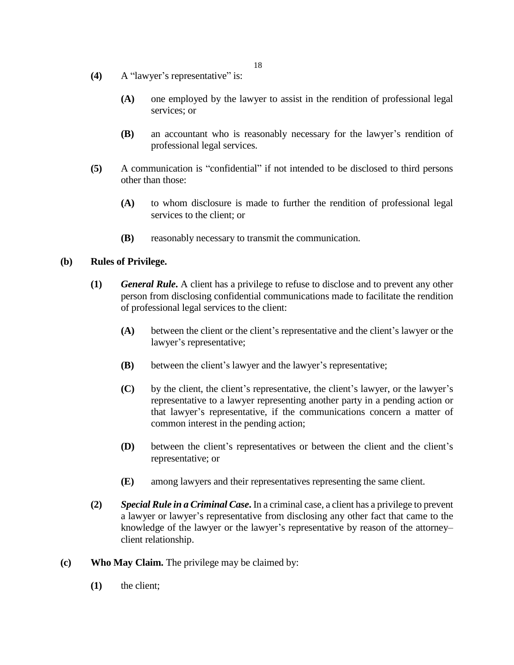- **(4)** A "lawyer's representative" is:
	- **(A)** one employed by the lawyer to assist in the rendition of professional legal services; or
	- **(B)** an accountant who is reasonably necessary for the lawyer's rendition of professional legal services.
- **(5)** A communication is "confidential" if not intended to be disclosed to third persons other than those:
	- **(A)** to whom disclosure is made to further the rendition of professional legal services to the client; or
	- **(B)** reasonably necessary to transmit the communication.

## **(b) Rules of Privilege.**

- **(1)** *General Rule***.** A client has a privilege to refuse to disclose and to prevent any other person from disclosing confidential communications made to facilitate the rendition of professional legal services to the client:
	- **(A)** between the client or the client's representative and the client's lawyer or the lawyer's representative;
	- **(B)** between the client's lawyer and the lawyer's representative;
	- **(C)** by the client, the client's representative, the client's lawyer, or the lawyer's representative to a lawyer representing another party in a pending action or that lawyer's representative, if the communications concern a matter of common interest in the pending action;
	- **(D)** between the client's representatives or between the client and the client's representative; or
	- **(E)** among lawyers and their representatives representing the same client.
- **(2)** *Special Rule in a Criminal Case***.** In a criminal case, a client has a privilege to prevent a lawyer or lawyer's representative from disclosing any other fact that came to the knowledge of the lawyer or the lawyer's representative by reason of the attorney– client relationship.
- **(c) Who May Claim.** The privilege may be claimed by:
	- **(1)** the client;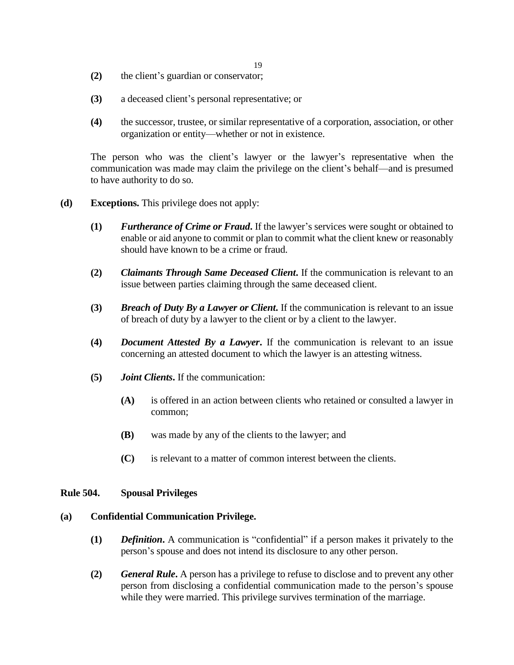- <span id="page-18-0"></span>**(2)** the client's guardian or conservator;
- **(3)** a deceased client's personal representative; or
- **(4)** the successor, trustee, or similar representative of a corporation, association, or other organization or entity—whether or not in existence.

The person who was the client's lawyer or the lawyer's representative when the communication was made may claim the privilege on the client's behalf—and is presumed to have authority to do so.

- **(d) Exceptions.** This privilege does not apply:
	- **(1)** *Furtherance of Crime or Fraud***.** If the lawyer's services were sought or obtained to enable or aid anyone to commit or plan to commit what the client knew or reasonably should have known to be a crime or fraud.
	- **(2)** *Claimants Through Same Deceased Client***.** If the communication is relevant to an issue between parties claiming through the same deceased client.
	- **(3)** *Breach of Duty By a Lawyer or Client***.** If the communication is relevant to an issue of breach of duty by a lawyer to the client or by a client to the lawyer.
	- **(4)** *Document Attested By a Lawyer***.** If the communication is relevant to an issue concerning an attested document to which the lawyer is an attesting witness.
	- **(5)** *Joint Clients***.** If the communication:
		- **(A)** is offered in an action between clients who retained or consulted a lawyer in common;
		- **(B)** was made by any of the clients to the lawyer; and
		- **(C)** is relevant to a matter of common interest between the clients.

### **Rule 504. Spousal Privileges**

### **(a) Confidential Communication Privilege.**

- **(1)** *Definition***.** A communication is "confidential" if a person makes it privately to the person's spouse and does not intend its disclosure to any other person.
- **(2)** *General Rule***.** A person has a privilege to refuse to disclose and to prevent any other person from disclosing a confidential communication made to the person's spouse while they were married. This privilege survives termination of the marriage.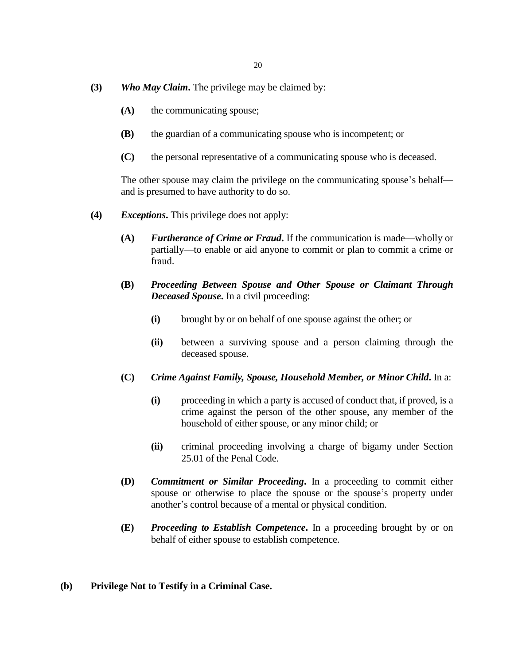- **(3)** *Who May Claim***.** The privilege may be claimed by:
	- **(A)** the communicating spouse;
	- **(B)** the guardian of a communicating spouse who is incompetent; or
	- **(C)** the personal representative of a communicating spouse who is deceased.

The other spouse may claim the privilege on the communicating spouse's behalf and is presumed to have authority to do so.

- **(4)** *Exceptions***.** This privilege does not apply:
	- **(A)** *Furtherance of Crime or Fraud***.** If the communication is made—wholly or partially—to enable or aid anyone to commit or plan to commit a crime or fraud.
	- **(B)** *Proceeding Between Spouse and Other Spouse or Claimant Through Deceased Spouse***.** In a civil proceeding:
		- **(i)** brought by or on behalf of one spouse against the other; or
		- **(ii)** between a surviving spouse and a person claiming through the deceased spouse.
	- **(C)** *Crime Against Family, Spouse, Household Member, or Minor Child***.** In a:
		- **(i)** proceeding in which a party is accused of conduct that, if proved, is a crime against the person of the other spouse, any member of the household of either spouse, or any minor child; or
		- **(ii)** criminal proceeding involving a charge of bigamy under Section 25.01 of the Penal Code.
	- **(D)** *Commitment or Similar Proceeding***.** In a proceeding to commit either spouse or otherwise to place the spouse or the spouse's property under another's control because of a mental or physical condition.
	- **(E)** *Proceeding to Establish Competence***.** In a proceeding brought by or on behalf of either spouse to establish competence.

### **(b) Privilege Not to Testify in a Criminal Case.**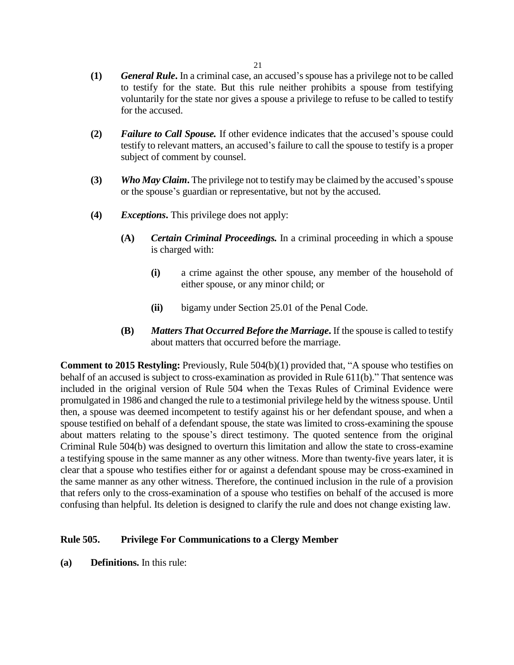- <span id="page-20-0"></span>**(1)** *General Rule***.** In a criminal case, an accused's spouse has a privilege not to be called to testify for the state. But this rule neither prohibits a spouse from testifying voluntarily for the state nor gives a spouse a privilege to refuse to be called to testify for the accused.
- **(2)** *Failure to Call Spouse.* If other evidence indicates that the accused's spouse could testify to relevant matters, an accused's failure to call the spouse to testify is a proper subject of comment by counsel.
- **(3)** *Who May Claim***.** The privilege not to testify may be claimed by the accused's spouse or the spouse's guardian or representative, but not by the accused.
- **(4)** *Exceptions***.** This privilege does not apply:
	- **(A)** *Certain Criminal Proceedings.* In a criminal proceeding in which a spouse is charged with:
		- **(i)** a crime against the other spouse, any member of the household of either spouse, or any minor child; or
		- **(ii)** bigamy under Section 25.01 of the Penal Code.
	- **(B)** *Matters That Occurred Before the Marriage***.** If the spouse is called to testify about matters that occurred before the marriage.

**Comment to 2015 Restyling:** Previously, Rule 504(b)(1) provided that, "A spouse who testifies on behalf of an accused is subject to cross-examination as provided in Rule 611(b)." That sentence was included in the original version of Rule 504 when the Texas Rules of Criminal Evidence were promulgated in 1986 and changed the rule to a testimonial privilege held by the witness spouse. Until then, a spouse was deemed incompetent to testify against his or her defendant spouse, and when a spouse testified on behalf of a defendant spouse, the state was limited to cross-examining the spouse about matters relating to the spouse's direct testimony. The quoted sentence from the original Criminal Rule 504(b) was designed to overturn this limitation and allow the state to cross-examine a testifying spouse in the same manner as any other witness. More than twenty-five years later, it is clear that a spouse who testifies either for or against a defendant spouse may be cross-examined in the same manner as any other witness. Therefore, the continued inclusion in the rule of a provision that refers only to the cross-examination of a spouse who testifies on behalf of the accused is more confusing than helpful. Its deletion is designed to clarify the rule and does not change existing law.

## **Rule 505. Privilege For Communications to a Clergy Member**

**(a) Definitions.** In this rule: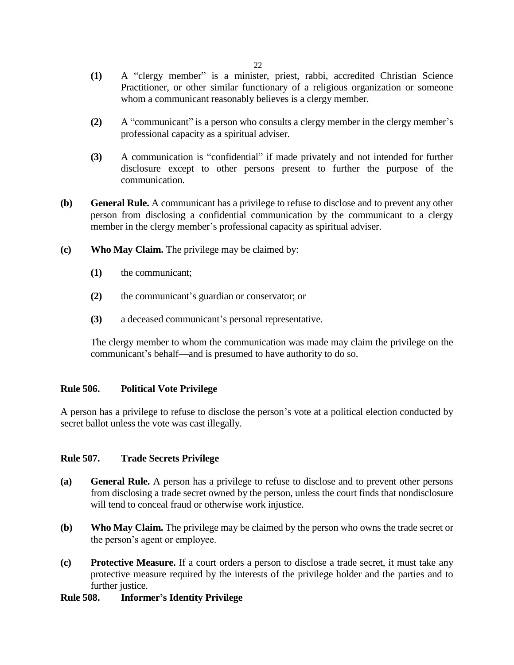- <span id="page-21-0"></span>**(1)** A "clergy member" is a minister, priest, rabbi, accredited Christian Science Practitioner, or other similar functionary of a religious organization or someone whom a communicant reasonably believes is a clergy member.
- **(2)** A "communicant" is a person who consults a clergy member in the clergy member's professional capacity as a spiritual adviser.
- **(3)** A communication is "confidential" if made privately and not intended for further disclosure except to other persons present to further the purpose of the communication.
- **(b) General Rule.** A communicant has a privilege to refuse to disclose and to prevent any other person from disclosing a confidential communication by the communicant to a clergy member in the clergy member's professional capacity as spiritual adviser.
- **(c) Who May Claim.** The privilege may be claimed by:
	- **(1)** the communicant;
	- **(2)** the communicant's guardian or conservator; or
	- **(3)** a deceased communicant's personal representative.

The clergy member to whom the communication was made may claim the privilege on the communicant's behalf—and is presumed to have authority to do so.

## **Rule 506. Political Vote Privilege**

A person has a privilege to refuse to disclose the person's vote at a political election conducted by secret ballot unless the vote was cast illegally.

## **Rule 507. Trade Secrets Privilege**

- **(a) General Rule.** A person has a privilege to refuse to disclose and to prevent other persons from disclosing a trade secret owned by the person, unless the court finds that nondisclosure will tend to conceal fraud or otherwise work injustice.
- **(b) Who May Claim.** The privilege may be claimed by the person who owns the trade secret or the person's agent or employee.
- **(c) Protective Measure.** If a court orders a person to disclose a trade secret, it must take any protective measure required by the interests of the privilege holder and the parties and to further justice.

## **Rule 508. Informer's Identity Privilege**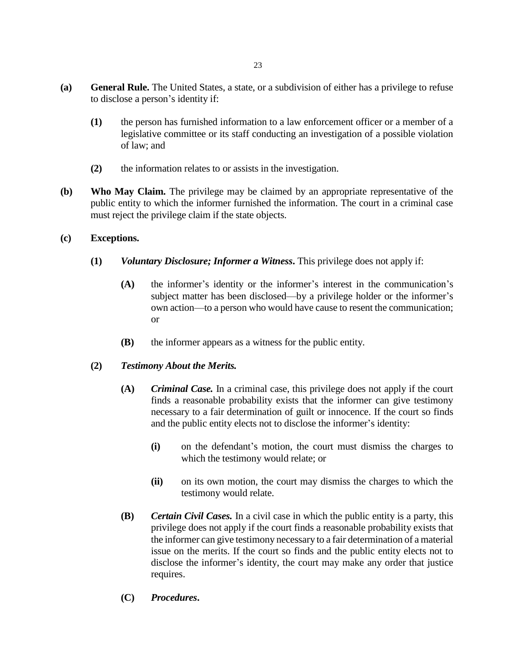- **(a) General Rule.** The United States, a state, or a subdivision of either has a privilege to refuse to disclose a person's identity if:
	- **(1)** the person has furnished information to a law enforcement officer or a member of a legislative committee or its staff conducting an investigation of a possible violation of law; and
	- **(2)** the information relates to or assists in the investigation.
- **(b) Who May Claim.** The privilege may be claimed by an appropriate representative of the public entity to which the informer furnished the information. The court in a criminal case must reject the privilege claim if the state objects.

### **(c) Exceptions.**

- **(1)** *Voluntary Disclosure; Informer a Witness***.** This privilege does not apply if:
	- **(A)** the informer's identity or the informer's interest in the communication's subject matter has been disclosed—by a privilege holder or the informer's own action—to a person who would have cause to resent the communication; or
	- **(B)** the informer appears as a witness for the public entity.

## **(2)** *Testimony About the Merits.*

- **(A)** *Criminal Case.* In a criminal case, this privilege does not apply if the court finds a reasonable probability exists that the informer can give testimony necessary to a fair determination of guilt or innocence. If the court so finds and the public entity elects not to disclose the informer's identity:
	- **(i)** on the defendant's motion, the court must dismiss the charges to which the testimony would relate; or
	- **(ii)** on its own motion, the court may dismiss the charges to which the testimony would relate.
- **(B)** *Certain Civil Cases.* In a civil case in which the public entity is a party, this privilege does not apply if the court finds a reasonable probability exists that the informer can give testimony necessary to a fair determination of a material issue on the merits. If the court so finds and the public entity elects not to disclose the informer's identity, the court may make any order that justice requires.
- **(C)** *Procedures***.**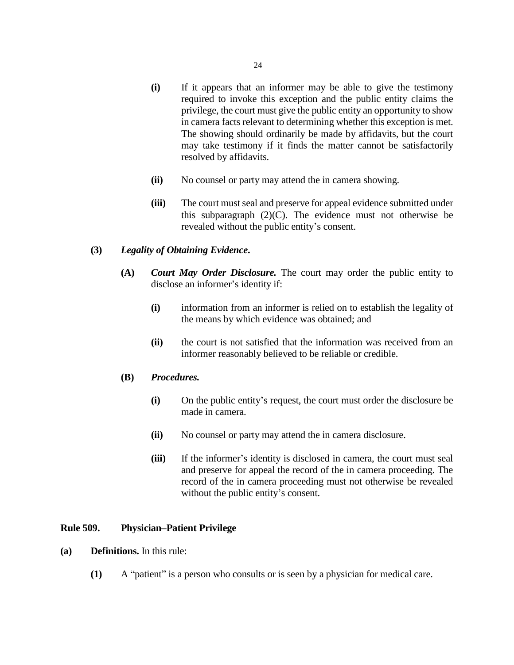- <span id="page-23-0"></span>**(i)** If it appears that an informer may be able to give the testimony required to invoke this exception and the public entity claims the privilege, the court must give the public entity an opportunity to show in camera facts relevant to determining whether this exception is met. The showing should ordinarily be made by affidavits, but the court may take testimony if it finds the matter cannot be satisfactorily resolved by affidavits.
- **(ii)** No counsel or party may attend the in camera showing.
- **(iii)** The court must seal and preserve for appeal evidence submitted under this subparagraph  $(2)(C)$ . The evidence must not otherwise be revealed without the public entity's consent.

### **(3)** *Legality of Obtaining Evidence***.**

- **(A)** *Court May Order Disclosure.* The court may order the public entity to disclose an informer's identity if:
	- **(i)** information from an informer is relied on to establish the legality of the means by which evidence was obtained; and
	- **(ii)** the court is not satisfied that the information was received from an informer reasonably believed to be reliable or credible.

### **(B)** *Procedures.*

- **(i)** On the public entity's request, the court must order the disclosure be made in camera.
- **(ii)** No counsel or party may attend the in camera disclosure.
- **(iii)** If the informer's identity is disclosed in camera, the court must seal and preserve for appeal the record of the in camera proceeding. The record of the in camera proceeding must not otherwise be revealed without the public entity's consent.

#### **Rule 509. Physician–Patient Privilege**

- **(a) Definitions.** In this rule:
	- **(1)** A "patient" is a person who consults or is seen by a physician for medical care.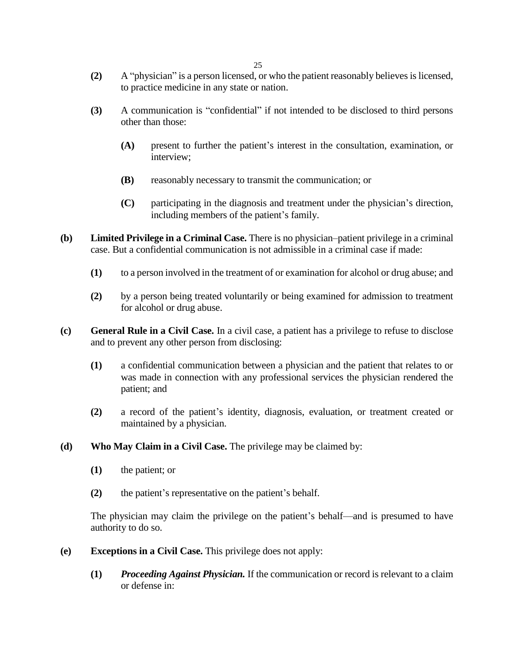- **(2)** A "physician" is a person licensed, or who the patient reasonably believes is licensed, to practice medicine in any state or nation.
- **(3)** A communication is "confidential" if not intended to be disclosed to third persons other than those:
	- **(A)** present to further the patient's interest in the consultation, examination, or interview;
	- **(B)** reasonably necessary to transmit the communication; or
	- **(C)** participating in the diagnosis and treatment under the physician's direction, including members of the patient's family.
- **(b) Limited Privilege in a Criminal Case.** There is no physician–patient privilege in a criminal case. But a confidential communication is not admissible in a criminal case if made:
	- **(1)** to a person involved in the treatment of or examination for alcohol or drug abuse; and
	- **(2)** by a person being treated voluntarily or being examined for admission to treatment for alcohol or drug abuse.
- **(c) General Rule in a Civil Case.** In a civil case, a patient has a privilege to refuse to disclose and to prevent any other person from disclosing:
	- **(1)** a confidential communication between a physician and the patient that relates to or was made in connection with any professional services the physician rendered the patient; and
	- **(2)** a record of the patient's identity, diagnosis, evaluation, or treatment created or maintained by a physician.
- **(d) Who May Claim in a Civil Case.** The privilege may be claimed by:
	- **(1)** the patient; or
	- **(2)** the patient's representative on the patient's behalf.

The physician may claim the privilege on the patient's behalf—and is presumed to have authority to do so.

- **(e) Exceptions in a Civil Case.** This privilege does not apply:
	- **(1)** *Proceeding Against Physician.* If the communication or record is relevant to a claim or defense in: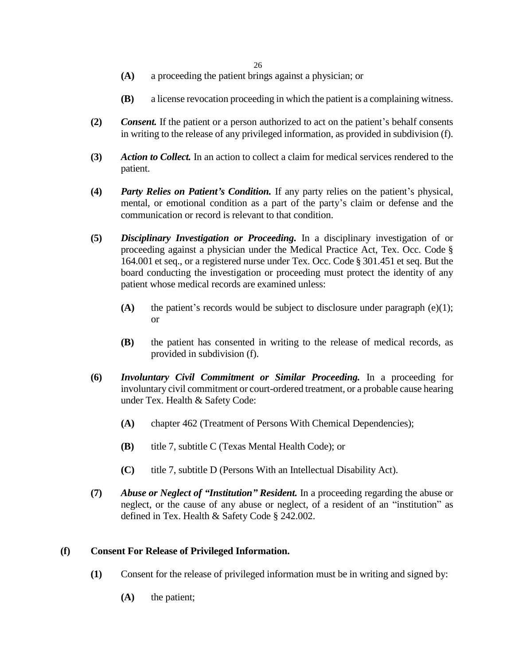- **(A)** a proceeding the patient brings against a physician; or
- **(B)** a license revocation proceeding in which the patient is a complaining witness.
- **(2)** *Consent.* If the patient or a person authorized to act on the patient's behalf consents in writing to the release of any privileged information, as provided in subdivision (f).
- **(3)** *Action to Collect.* In an action to collect a claim for medical services rendered to the patient.
- **(4)** *Party Relies on Patient's Condition.* If any party relies on the patient's physical, mental, or emotional condition as a part of the party's claim or defense and the communication or record is relevant to that condition.
- **(5)** *Disciplinary Investigation or Proceeding.* In a disciplinary investigation of or proceeding against a physician under the Medical Practice Act, Tex. Occ. Code § 164.001 et seq., or a registered nurse under Tex. Occ. Code § 301.451 et seq. But the board conducting the investigation or proceeding must protect the identity of any patient whose medical records are examined unless:
	- **(A)** the patient's records would be subject to disclosure under paragraph  $(e)(1)$ ; or
	- **(B)** the patient has consented in writing to the release of medical records, as provided in subdivision (f).
- **(6)** *Involuntary Civil Commitment or Similar Proceeding.* In a proceeding for involuntary civil commitment or court-ordered treatment, or a probable cause hearing under Tex. Health & Safety Code:
	- **(A)** chapter 462 (Treatment of Persons With Chemical Dependencies);
	- **(B)** title 7, subtitle C (Texas Mental Health Code); or
	- **(C)** title 7, subtitle D (Persons With an Intellectual Disability Act).
- **(7)** *Abuse or Neglect of "Institution" Resident.* In a proceeding regarding the abuse or neglect, or the cause of any abuse or neglect, of a resident of an "institution" as defined in Tex. Health & Safety Code § 242.002.

## **(f) Consent For Release of Privileged Information.**

- **(1)** Consent for the release of privileged information must be in writing and signed by:
	- **(A)** the patient;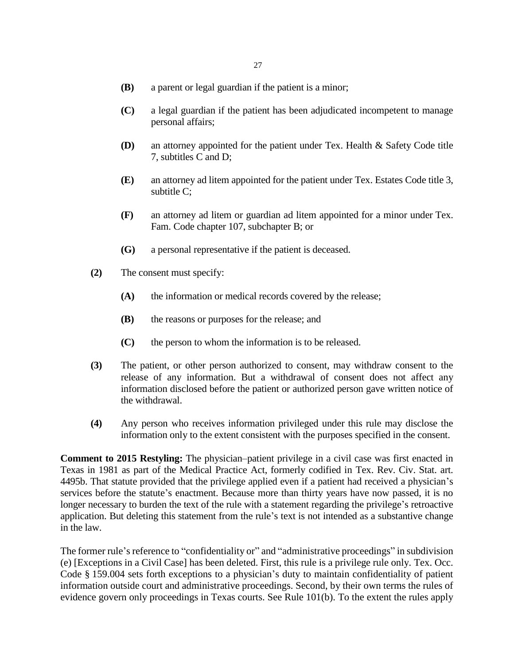- **(B)** a parent or legal guardian if the patient is a minor;
- **(C)** a legal guardian if the patient has been adjudicated incompetent to manage personal affairs;
- **(D)** an attorney appointed for the patient under Tex. Health & Safety Code title 7, subtitles C and D;
- **(E)** an attorney ad litem appointed for the patient under Tex. Estates Code title 3, subtitle C;
- **(F)** an attorney ad litem or guardian ad litem appointed for a minor under Tex. Fam. Code chapter 107, subchapter B; or
- **(G)** a personal representative if the patient is deceased.
- **(2)** The consent must specify:
	- **(A)** the information or medical records covered by the release;
	- **(B)** the reasons or purposes for the release; and
	- **(C)** the person to whom the information is to be released.
- **(3)** The patient, or other person authorized to consent, may withdraw consent to the release of any information. But a withdrawal of consent does not affect any information disclosed before the patient or authorized person gave written notice of the withdrawal.
- **(4)** Any person who receives information privileged under this rule may disclose the information only to the extent consistent with the purposes specified in the consent.

**Comment to 2015 Restyling:** The physician–patient privilege in a civil case was first enacted in Texas in 1981 as part of the Medical Practice Act, formerly codified in Tex. Rev. Civ. Stat. art. 4495b. That statute provided that the privilege applied even if a patient had received a physician's services before the statute's enactment. Because more than thirty years have now passed, it is no longer necessary to burden the text of the rule with a statement regarding the privilege's retroactive application. But deleting this statement from the rule's text is not intended as a substantive change in the law.

The former rule's reference to "confidentiality or" and "administrative proceedings" in subdivision (e) [Exceptions in a Civil Case] has been deleted. First, this rule is a privilege rule only. Tex. Occ. Code § 159.004 sets forth exceptions to a physician's duty to maintain confidentiality of patient information outside court and administrative proceedings. Second, by their own terms the rules of evidence govern only proceedings in Texas courts. See Rule 101(b). To the extent the rules apply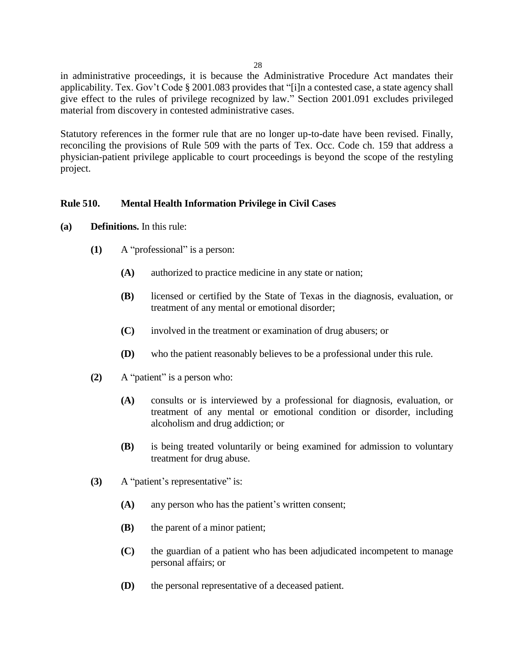28

<span id="page-27-0"></span>in administrative proceedings, it is because the Administrative Procedure Act mandates their applicability. Tex. Gov't Code § 2001.083 provides that "[i]n a contested case, a state agency shall give effect to the rules of privilege recognized by law." Section 2001.091 excludes privileged material from discovery in contested administrative cases.

Statutory references in the former rule that are no longer up-to-date have been revised. Finally, reconciling the provisions of Rule 509 with the parts of Tex. Occ. Code ch. 159 that address a physician-patient privilege applicable to court proceedings is beyond the scope of the restyling project.

## **Rule 510. Mental Health Information Privilege in Civil Cases**

- **(a) Definitions.** In this rule:
	- **(1)** A "professional" is a person:
		- **(A)** authorized to practice medicine in any state or nation;
		- **(B)** licensed or certified by the State of Texas in the diagnosis, evaluation, or treatment of any mental or emotional disorder;
		- **(C)** involved in the treatment or examination of drug abusers; or
		- **(D)** who the patient reasonably believes to be a professional under this rule.
	- **(2)** A "patient" is a person who:
		- **(A)** consults or is interviewed by a professional for diagnosis, evaluation, or treatment of any mental or emotional condition or disorder, including alcoholism and drug addiction; or
		- **(B)** is being treated voluntarily or being examined for admission to voluntary treatment for drug abuse.
	- **(3)** A "patient's representative" is:
		- **(A)** any person who has the patient's written consent;
		- **(B)** the parent of a minor patient;
		- **(C)** the guardian of a patient who has been adjudicated incompetent to manage personal affairs; or
		- **(D)** the personal representative of a deceased patient.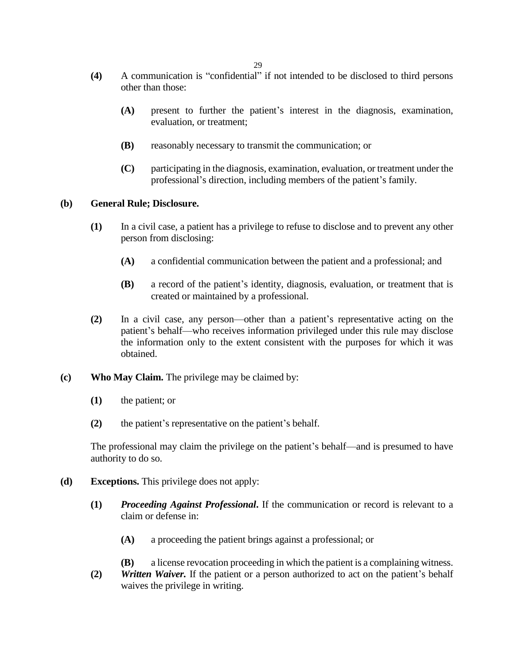- **(4)** A communication is "confidential" if not intended to be disclosed to third persons other than those:
	- **(A)** present to further the patient's interest in the diagnosis, examination, evaluation, or treatment;
	- **(B)** reasonably necessary to transmit the communication; or
	- **(C)** participating in the diagnosis, examination, evaluation, or treatment under the professional's direction, including members of the patient's family.

### **(b) General Rule; Disclosure.**

- **(1)** In a civil case, a patient has a privilege to refuse to disclose and to prevent any other person from disclosing:
	- **(A)** a confidential communication between the patient and a professional; and
	- **(B)** a record of the patient's identity, diagnosis, evaluation, or treatment that is created or maintained by a professional.
- **(2)** In a civil case, any person—other than a patient's representative acting on the patient's behalf—who receives information privileged under this rule may disclose the information only to the extent consistent with the purposes for which it was obtained.
- **(c) Who May Claim.** The privilege may be claimed by:
	- **(1)** the patient; or
	- **(2)** the patient's representative on the patient's behalf.

The professional may claim the privilege on the patient's behalf—and is presumed to have authority to do so.

- **(d) Exceptions.** This privilege does not apply:
	- **(1)** *Proceeding Against Professional***.** If the communication or record is relevant to a claim or defense in:
		- **(A)** a proceeding the patient brings against a professional; or
		- **(B)** a license revocation proceeding in which the patient is a complaining witness.
	- **(2)** *Written Waiver.* If the patient or a person authorized to act on the patient's behalf waives the privilege in writing.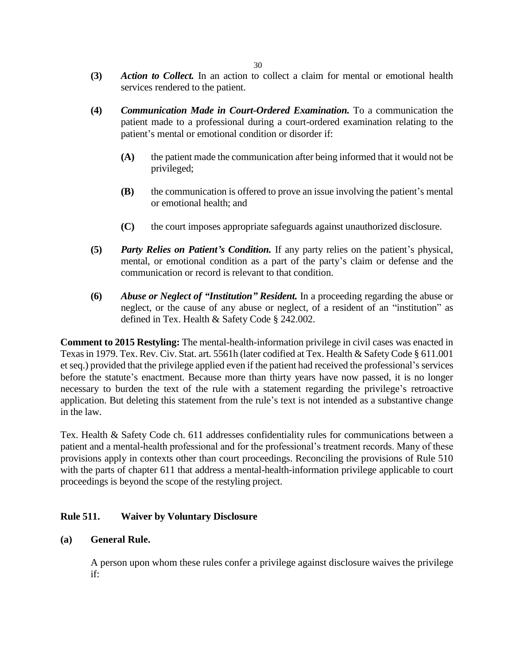- <span id="page-29-0"></span>**(3)** *Action to Collect.* In an action to collect a claim for mental or emotional health services rendered to the patient.
- **(4)** *Communication Made in Court-Ordered Examination.* To a communication the patient made to a professional during a court-ordered examination relating to the patient's mental or emotional condition or disorder if:
	- **(A)** the patient made the communication after being informed that it would not be privileged;
	- **(B)** the communication is offered to prove an issue involving the patient's mental or emotional health; and
	- **(C)** the court imposes appropriate safeguards against unauthorized disclosure.
- **(5)** *Party Relies on Patient's Condition.* If any party relies on the patient's physical, mental, or emotional condition as a part of the party's claim or defense and the communication or record is relevant to that condition.
- **(6)** *Abuse or Neglect of "Institution" Resident.* In a proceeding regarding the abuse or neglect, or the cause of any abuse or neglect, of a resident of an "institution" as defined in Tex. Health & Safety Code § 242.002.

**Comment to 2015 Restyling:** The mental-health-information privilege in civil cases was enacted in Texas in 1979. Tex. Rev. Civ. Stat. art. 5561h (later codified at Tex. Health & Safety Code § 611.001 et seq.) provided that the privilege applied even if the patient had received the professional's services before the statute's enactment. Because more than thirty years have now passed, it is no longer necessary to burden the text of the rule with a statement regarding the privilege's retroactive application. But deleting this statement from the rule's text is not intended as a substantive change in the law.

Tex. Health & Safety Code ch. 611 addresses confidentiality rules for communications between a patient and a mental-health professional and for the professional's treatment records. Many of these provisions apply in contexts other than court proceedings. Reconciling the provisions of Rule 510 with the parts of chapter 611 that address a mental-health-information privilege applicable to court proceedings is beyond the scope of the restyling project.

## **Rule 511. Waiver by Voluntary Disclosure**

**(a) General Rule.**

A person upon whom these rules confer a privilege against disclosure waives the privilege if: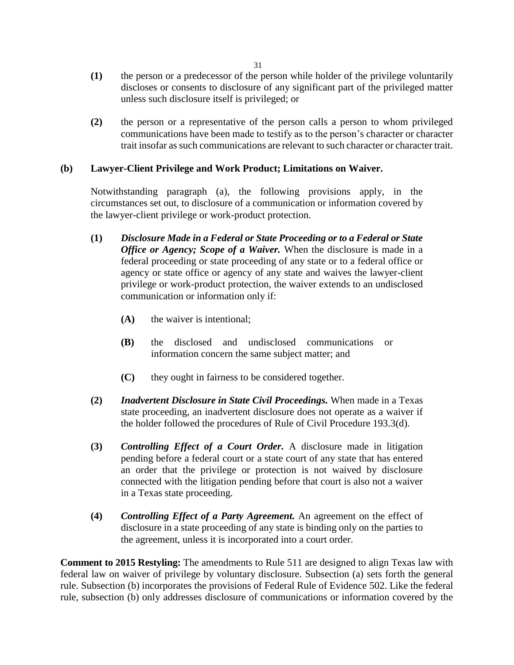- **(1)** the person or a predecessor of the person while holder of the privilege voluntarily discloses or consents to disclosure of any significant part of the privileged matter unless such disclosure itself is privileged; or
- **(2)** the person or a representative of the person calls a person to whom privileged communications have been made to testify as to the person's character or character trait insofar as such communications are relevant to such character or character trait.

## **(b) Lawyer-Client Privilege and Work Product; Limitations on Waiver.**

Notwithstanding paragraph (a), the following provisions apply, in the circumstances set out, to disclosure of a communication or information covered by the lawyer-client privilege or work-product protection.

- **(1)** *Disclosure Made in a Federal or State Proceeding or to a Federal or State Office or Agency; Scope of a Waiver.* When the disclosure is made in a federal proceeding or state proceeding of any state or to a federal office or agency or state office or agency of any state and waives the lawyer-client privilege or work-product protection, the waiver extends to an undisclosed communication or information only if:
	- **(A)** the waiver is intentional;
	- **(B)** the disclosed and undisclosed communications or information concern the same subject matter; and
	- **(C)** they ought in fairness to be considered together.
- **(2)** *Inadvertent Disclosure in State Civil Proceedings.* When made in a Texas state proceeding, an inadvertent disclosure does not operate as a waiver if the holder followed the procedures of Rule of Civil Procedure 193.3(d).
- **(3)** *Controlling Effect of a Court Order.* A disclosure made in litigation pending before a federal court or a state court of any state that has entered an order that the privilege or protection is not waived by disclosure connected with the litigation pending before that court is also not a waiver in a Texas state proceeding.
- **(4)** *Controlling Effect of a Party Agreement.* An agreement on the effect of disclosure in a state proceeding of any state is binding only on the parties to the agreement, unless it is incorporated into a court order.

**Comment to 2015 Restyling:** The amendments to Rule 511 are designed to align Texas law with federal law on waiver of privilege by voluntary disclosure. Subsection (a) sets forth the general rule. Subsection (b) incorporates the provisions of Federal Rule of Evidence 502. Like the federal rule, subsection (b) only addresses disclosure of communications or information covered by the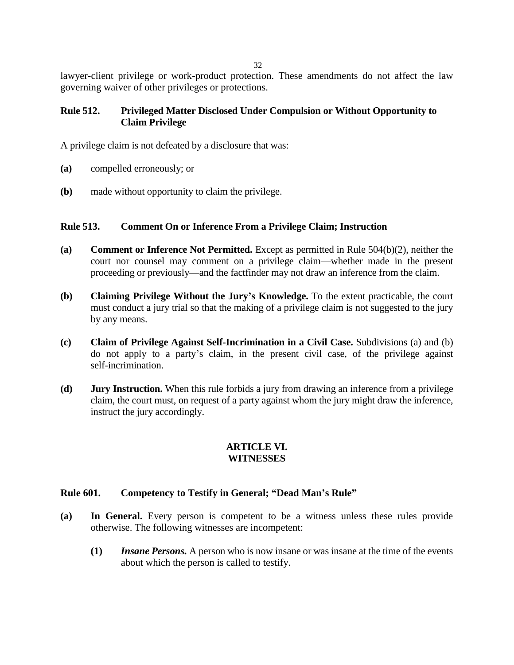<span id="page-31-0"></span>lawyer-client privilege or work-product protection. These amendments do not affect the law governing waiver of other privileges or protections.

## **Rule 512. Privileged Matter Disclosed Under Compulsion or Without Opportunity to Claim Privilege**

A privilege claim is not defeated by a disclosure that was:

- **(a)** compelled erroneously; or
- **(b)** made without opportunity to claim the privilege.

### **Rule 513. Comment On or Inference From a Privilege Claim; Instruction**

- **(a) Comment or Inference Not Permitted.** Except as permitted in Rule 504(b)(2), neither the court nor counsel may comment on a privilege claim—whether made in the present proceeding or previously—and the factfinder may not draw an inference from the claim.
- **(b) Claiming Privilege Without the Jury's Knowledge.** To the extent practicable, the court must conduct a jury trial so that the making of a privilege claim is not suggested to the jury by any means.
- **(c) Claim of Privilege Against Self-Incrimination in a Civil Case.** Subdivisions (a) and (b) do not apply to a party's claim, in the present civil case, of the privilege against self-incrimination.
- **(d) Jury Instruction.** When this rule forbids a jury from drawing an inference from a privilege claim, the court must, on request of a party against whom the jury might draw the inference, instruct the jury accordingly.

## **ARTICLE VI. WITNESSES**

## **Rule 601. Competency to Testify in General; "Dead Man's Rule"**

- **(a) In General.** Every person is competent to be a witness unless these rules provide otherwise. The following witnesses are incompetent:
	- **(1)** *Insane Persons.* A person who is now insane or was insane at the time of the events about which the person is called to testify.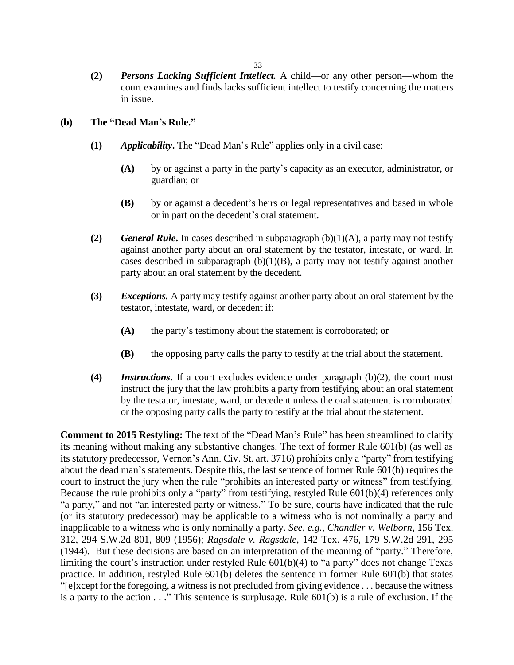**(2)** *Persons Lacking Sufficient Intellect.* A child—or any other person—whom the court examines and finds lacks sufficient intellect to testify concerning the matters in issue.

### **(b) The "Dead Man's Rule."**

- **(1)** *Applicability***.** The "Dead Man's Rule" applies only in a civil case:
	- **(A)** by or against a party in the party's capacity as an executor, administrator, or guardian; or
	- **(B)** by or against a decedent's heirs or legal representatives and based in whole or in part on the decedent's oral statement.
- **(2)** *General Rule***.** In cases described in subparagraph (b)(1)(A), a party may not testify against another party about an oral statement by the testator, intestate, or ward. In cases described in subparagraph  $(b)(1)(B)$ , a party may not testify against another party about an oral statement by the decedent.
- **(3)** *Exceptions.* A party may testify against another party about an oral statement by the testator, intestate, ward, or decedent if:
	- **(A)** the party's testimony about the statement is corroborated; or
	- **(B)** the opposing party calls the party to testify at the trial about the statement.
- **(4)** *Instructions***.** If a court excludes evidence under paragraph (b)(2), the court must instruct the jury that the law prohibits a party from testifying about an oral statement by the testator, intestate, ward, or decedent unless the oral statement is corroborated or the opposing party calls the party to testify at the trial about the statement.

**Comment to 2015 Restyling:** The text of the "Dead Man's Rule" has been streamlined to clarify its meaning without making any substantive changes. The text of former Rule 601(b) (as well as its statutory predecessor, Vernon's Ann. Civ. St. art. 3716) prohibits only a "party" from testifying about the dead man's statements. Despite this, the last sentence of former Rule 601(b) requires the court to instruct the jury when the rule "prohibits an interested party or witness" from testifying. Because the rule prohibits only a "party" from testifying, restyled Rule 601(b)(4) references only "a party," and not "an interested party or witness." To be sure, courts have indicated that the rule (or its statutory predecessor) may be applicable to a witness who is not nominally a party and inapplicable to a witness who is only nominally a party. *See, e.g.*, *Chandler v. Welborn*, 156 Tex. 312, 294 S.W.2d 801, 809 (1956); *Ragsdale v. Ragsdale*, 142 Tex. 476, 179 S.W.2d 291, 295 (1944). But these decisions are based on an interpretation of the meaning of "party." Therefore, limiting the court's instruction under restyled Rule 601(b)(4) to "a party" does not change Texas practice. In addition, restyled Rule 601(b) deletes the sentence in former Rule 601(b) that states "[e]xcept for the foregoing, a witness is not precluded from giving evidence . . . because the witness is a party to the action . . ." This sentence is surplusage. Rule 601(b) is a rule of exclusion. If the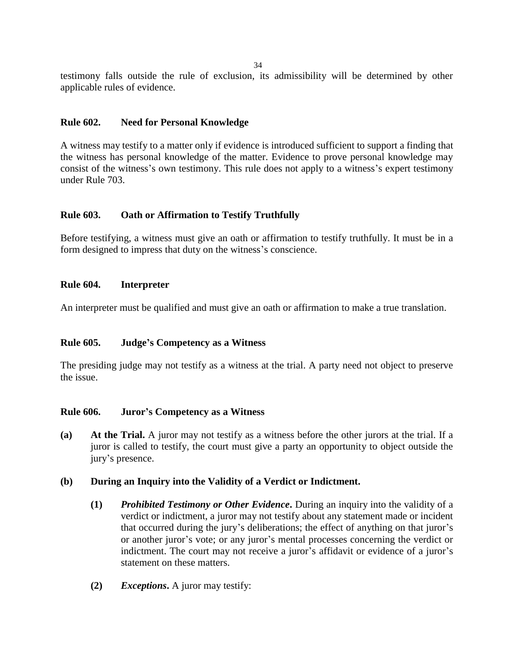<span id="page-33-0"></span>testimony falls outside the rule of exclusion, its admissibility will be determined by other applicable rules of evidence.

## **Rule 602. Need for Personal Knowledge**

A witness may testify to a matter only if evidence is introduced sufficient to support a finding that the witness has personal knowledge of the matter. Evidence to prove personal knowledge may consist of the witness's own testimony. This rule does not apply to a witness's expert testimony under Rule 703.

## **Rule 603. Oath or Affirmation to Testify Truthfully**

Before testifying, a witness must give an oath or affirmation to testify truthfully. It must be in a form designed to impress that duty on the witness's conscience.

## **Rule 604. Interpreter**

An interpreter must be qualified and must give an oath or affirmation to make a true translation.

## **Rule 605. Judge's Competency as a Witness**

The presiding judge may not testify as a witness at the trial. A party need not object to preserve the issue.

## **Rule 606. Juror's Competency as a Witness**

**(a) At the Trial.** A juror may not testify as a witness before the other jurors at the trial. If a juror is called to testify, the court must give a party an opportunity to object outside the jury's presence.

## **(b) During an Inquiry into the Validity of a Verdict or Indictment.**

- **(1)** *Prohibited Testimony or Other Evidence***.** During an inquiry into the validity of a verdict or indictment, a juror may not testify about any statement made or incident that occurred during the jury's deliberations; the effect of anything on that juror's or another juror's vote; or any juror's mental processes concerning the verdict or indictment. The court may not receive a juror's affidavit or evidence of a juror's statement on these matters.
- **(2)** *Exceptions***.** A juror may testify:

34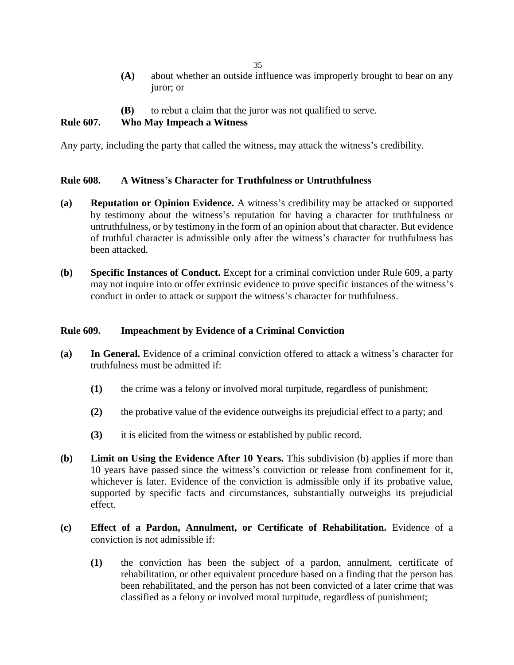35

- **(A)** about whether an outside influence was improperly brought to bear on any juror; or
- **(B)** to rebut a claim that the juror was not qualified to serve.

## <span id="page-34-0"></span>**Rule 607. Who May Impeach a Witness**

Any party, including the party that called the witness, may attack the witness's credibility.

## **Rule 608. A Witness's Character for Truthfulness or Untruthfulness**

- **(a) Reputation or Opinion Evidence.** A witness's credibility may be attacked or supported by testimony about the witness's reputation for having a character for truthfulness or untruthfulness, or by testimony in the form of an opinion about that character. But evidence of truthful character is admissible only after the witness's character for truthfulness has been attacked.
- **(b) Specific Instances of Conduct.** Except for a criminal conviction under Rule 609, a party may not inquire into or offer extrinsic evidence to prove specific instances of the witness's conduct in order to attack or support the witness's character for truthfulness.

## **Rule 609. Impeachment by Evidence of a Criminal Conviction**

- **(a) In General.** Evidence of a criminal conviction offered to attack a witness's character for truthfulness must be admitted if:
	- **(1)** the crime was a felony or involved moral turpitude, regardless of punishment;
	- **(2)** the probative value of the evidence outweighs its prejudicial effect to a party; and
	- **(3)** it is elicited from the witness or established by public record.
- **(b) Limit on Using the Evidence After 10 Years.** This subdivision (b) applies if more than 10 years have passed since the witness's conviction or release from confinement for it, whichever is later. Evidence of the conviction is admissible only if its probative value, supported by specific facts and circumstances, substantially outweighs its prejudicial effect.
- **(c) Effect of a Pardon, Annulment, or Certificate of Rehabilitation.** Evidence of a conviction is not admissible if:
	- **(1)** the conviction has been the subject of a pardon, annulment, certificate of rehabilitation, or other equivalent procedure based on a finding that the person has been rehabilitated, and the person has not been convicted of a later crime that was classified as a felony or involved moral turpitude, regardless of punishment;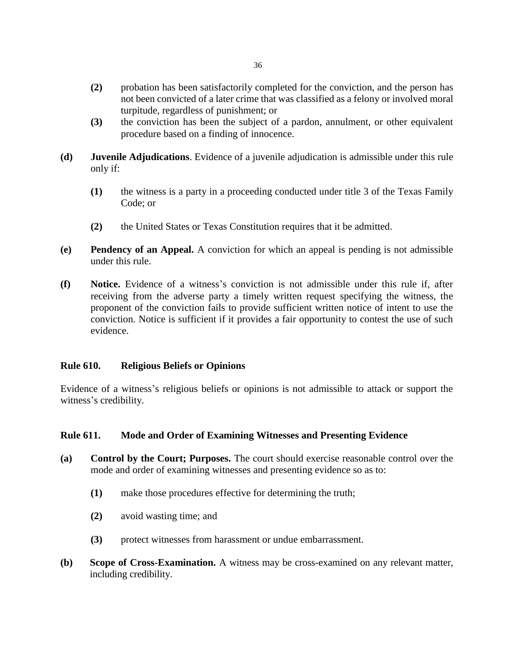- <span id="page-35-0"></span>**(2)** probation has been satisfactorily completed for the conviction, and the person has not been convicted of a later crime that was classified as a felony or involved moral turpitude, regardless of punishment; or
- **(3)** the conviction has been the subject of a pardon, annulment, or other equivalent procedure based on a finding of innocence.
- **(d) Juvenile Adjudications**. Evidence of a juvenile adjudication is admissible under this rule only if:
	- **(1)** the witness is a party in a proceeding conducted under title 3 of the Texas Family Code; or
	- **(2)** the United States or Texas Constitution requires that it be admitted.
- **(e) Pendency of an Appeal.** A conviction for which an appeal is pending is not admissible under this rule.
- **(f) Notice.** Evidence of a witness's conviction is not admissible under this rule if, after receiving from the adverse party a timely written request specifying the witness, the proponent of the conviction fails to provide sufficient written notice of intent to use the conviction. Notice is sufficient if it provides a fair opportunity to contest the use of such evidence.

## **Rule 610. Religious Beliefs or Opinions**

Evidence of a witness's religious beliefs or opinions is not admissible to attack or support the witness's credibility.

## **Rule 611. Mode and Order of Examining Witnesses and Presenting Evidence**

- **(a) Control by the Court; Purposes.** The court should exercise reasonable control over the mode and order of examining witnesses and presenting evidence so as to:
	- **(1)** make those procedures effective for determining the truth;
	- **(2)** avoid wasting time; and
	- **(3)** protect witnesses from harassment or undue embarrassment.
- **(b) Scope of Cross-Examination.** A witness may be cross-examined on any relevant matter, including credibility.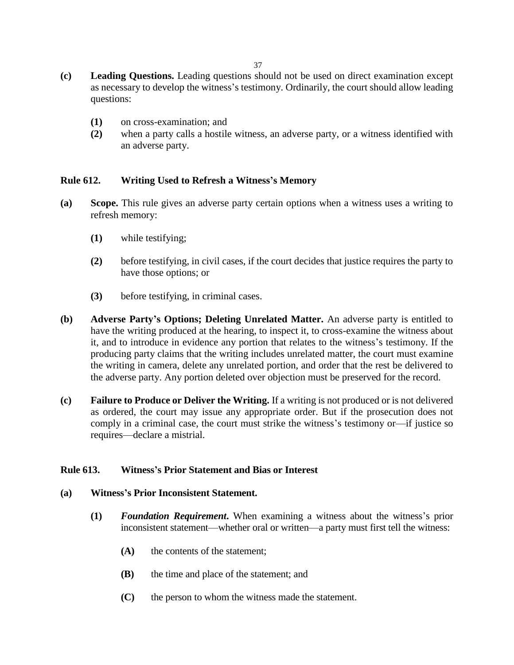- <span id="page-36-0"></span>**(c) Leading Questions.** Leading questions should not be used on direct examination except as necessary to develop the witness's testimony. Ordinarily, the court should allow leading questions:
	- **(1)** on cross-examination; and
	- **(2)** when a party calls a hostile witness, an adverse party, or a witness identified with an adverse party.

## **Rule 612. Writing Used to Refresh a Witness's Memory**

- **(a) Scope.** This rule gives an adverse party certain options when a witness uses a writing to refresh memory:
	- **(1)** while testifying;
	- **(2)** before testifying, in civil cases, if the court decides that justice requires the party to have those options; or
	- **(3)** before testifying, in criminal cases.
- **(b) Adverse Party's Options; Deleting Unrelated Matter.** An adverse party is entitled to have the writing produced at the hearing, to inspect it, to cross-examine the witness about it, and to introduce in evidence any portion that relates to the witness's testimony. If the producing party claims that the writing includes unrelated matter, the court must examine the writing in camera, delete any unrelated portion, and order that the rest be delivered to the adverse party. Any portion deleted over objection must be preserved for the record.
- **(c) Failure to Produce or Deliver the Writing.** If a writing is not produced or is not delivered as ordered, the court may issue any appropriate order. But if the prosecution does not comply in a criminal case, the court must strike the witness's testimony or—if justice so requires—declare a mistrial.

### **Rule 613. Witness's Prior Statement and Bias or Interest**

### **(a) Witness's Prior Inconsistent Statement.**

- **(1)** *Foundation Requirement***.** When examining a witness about the witness's prior inconsistent statement—whether oral or written—a party must first tell the witness:
	- **(A)** the contents of the statement;
	- **(B)** the time and place of the statement; and
	- **(C)** the person to whom the witness made the statement.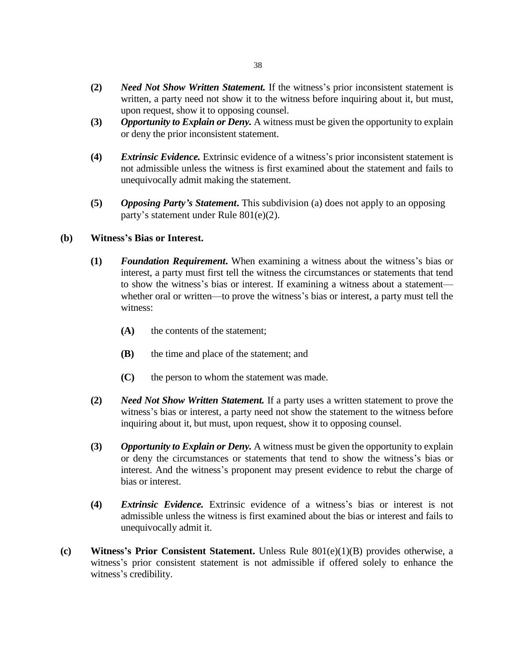- **(2)** *Need Not Show Written Statement.* If the witness's prior inconsistent statement is written, a party need not show it to the witness before inquiring about it, but must, upon request, show it to opposing counsel.
- **(3)** *Opportunity to Explain or Deny.* A witness must be given the opportunity to explain or deny the prior inconsistent statement.
- **(4)** *Extrinsic Evidence.* Extrinsic evidence of a witness's prior inconsistent statement is not admissible unless the witness is first examined about the statement and fails to unequivocally admit making the statement.
- **(5)** *Opposing Party's Statement***.** This subdivision (a) does not apply to an opposing party's statement under Rule 801(e)(2).

### **(b) Witness's Bias or Interest.**

- **(1)** *Foundation Requirement***.** When examining a witness about the witness's bias or interest, a party must first tell the witness the circumstances or statements that tend to show the witness's bias or interest. If examining a witness about a statement whether oral or written—to prove the witness's bias or interest, a party must tell the witness:
	- **(A)** the contents of the statement;
	- **(B)** the time and place of the statement; and
	- **(C)** the person to whom the statement was made.
- **(2)** *Need Not Show Written Statement.* If a party uses a written statement to prove the witness's bias or interest, a party need not show the statement to the witness before inquiring about it, but must, upon request, show it to opposing counsel.
- **(3)** *Opportunity to Explain or Deny.* A witness must be given the opportunity to explain or deny the circumstances or statements that tend to show the witness's bias or interest. And the witness's proponent may present evidence to rebut the charge of bias or interest.
- **(4)** *Extrinsic Evidence.* Extrinsic evidence of a witness's bias or interest is not admissible unless the witness is first examined about the bias or interest and fails to unequivocally admit it.
- **(c) Witness's Prior Consistent Statement.** Unless Rule 801(e)(1)(B) provides otherwise, a witness's prior consistent statement is not admissible if offered solely to enhance the witness's credibility.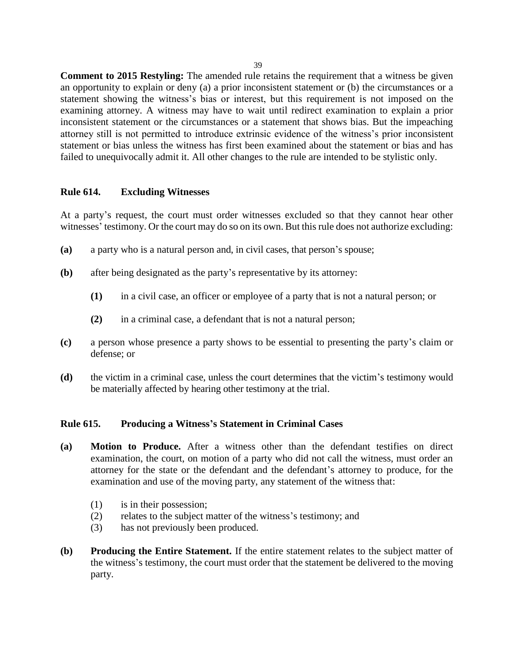<span id="page-38-0"></span>**Comment to 2015 Restyling:** The amended rule retains the requirement that a witness be given an opportunity to explain or deny (a) a prior inconsistent statement or (b) the circumstances or a statement showing the witness's bias or interest, but this requirement is not imposed on the examining attorney. A witness may have to wait until redirect examination to explain a prior inconsistent statement or the circumstances or a statement that shows bias. But the impeaching attorney still is not permitted to introduce extrinsic evidence of the witness's prior inconsistent statement or bias unless the witness has first been examined about the statement or bias and has failed to unequivocally admit it. All other changes to the rule are intended to be stylistic only.

## **Rule 614. Excluding Witnesses**

At a party's request, the court must order witnesses excluded so that they cannot hear other witnesses' testimony. Or the court may do so on its own. But this rule does not authorize excluding:

- **(a)** a party who is a natural person and, in civil cases, that person's spouse;
- **(b)** after being designated as the party's representative by its attorney:
	- **(1)** in a civil case, an officer or employee of a party that is not a natural person; or
	- **(2)** in a criminal case, a defendant that is not a natural person;
- **(c)** a person whose presence a party shows to be essential to presenting the party's claim or defense; or
- **(d)** the victim in a criminal case, unless the court determines that the victim's testimony would be materially affected by hearing other testimony at the trial.

## **Rule 615. Producing a Witness's Statement in Criminal Cases**

- **(a) Motion to Produce.** After a witness other than the defendant testifies on direct examination, the court, on motion of a party who did not call the witness, must order an attorney for the state or the defendant and the defendant's attorney to produce, for the examination and use of the moving party, any statement of the witness that:
	- (1) is in their possession;
	- (2) relates to the subject matter of the witness's testimony; and
	- (3) has not previously been produced.
- **(b) Producing the Entire Statement.** If the entire statement relates to the subject matter of the witness's testimony, the court must order that the statement be delivered to the moving party.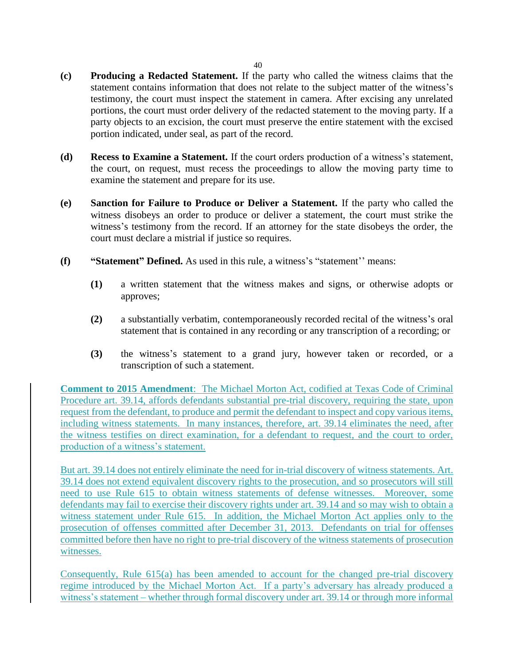- **(c) Producing a Redacted Statement.** If the party who called the witness claims that the statement contains information that does not relate to the subject matter of the witness's testimony, the court must inspect the statement in camera. After excising any unrelated portions, the court must order delivery of the redacted statement to the moving party. If a party objects to an excision, the court must preserve the entire statement with the excised portion indicated, under seal, as part of the record.
- **(d) Recess to Examine a Statement.** If the court orders production of a witness's statement, the court, on request, must recess the proceedings to allow the moving party time to examine the statement and prepare for its use.
- **(e) Sanction for Failure to Produce or Deliver a Statement.** If the party who called the witness disobeys an order to produce or deliver a statement, the court must strike the witness's testimony from the record. If an attorney for the state disobeys the order, the court must declare a mistrial if justice so requires.
- **(f) "Statement" Defined.** As used in this rule, a witness's "statement'' means:
	- **(1)** a written statement that the witness makes and signs, or otherwise adopts or approves;
	- **(2)** a substantially verbatim, contemporaneously recorded recital of the witness's oral statement that is contained in any recording or any transcription of a recording; or
	- **(3)** the witness's statement to a grand jury, however taken or recorded, or a transcription of such a statement.

**Comment to 2015 Amendment**: The Michael Morton Act, codified at Texas Code of Criminal Procedure art. 39.14, affords defendants substantial pre-trial discovery, requiring the state, upon request from the defendant, to produce and permit the defendant to inspect and copy various items, including witness statements. In many instances, therefore, art. 39.14 eliminates the need, after the witness testifies on direct examination, for a defendant to request, and the court to order, production of a witness's statement.

But art. 39.14 does not entirely eliminate the need for in-trial discovery of witness statements. Art. 39.14 does not extend equivalent discovery rights to the prosecution, and so prosecutors will still need to use Rule 615 to obtain witness statements of defense witnesses. Moreover, some defendants may fail to exercise their discovery rights under art. 39.14 and so may wish to obtain a witness statement under Rule 615. In addition, the Michael Morton Act applies only to the prosecution of offenses committed after December 31, 2013. Defendants on trial for offenses committed before then have no right to pre-trial discovery of the witness statements of prosecution witnesses.

Consequently, Rule 615(a) has been amended to account for the changed pre-trial discovery regime introduced by the Michael Morton Act. If a party's adversary has already produced a witness's statement – whether through formal discovery under art. 39.14 or through more informal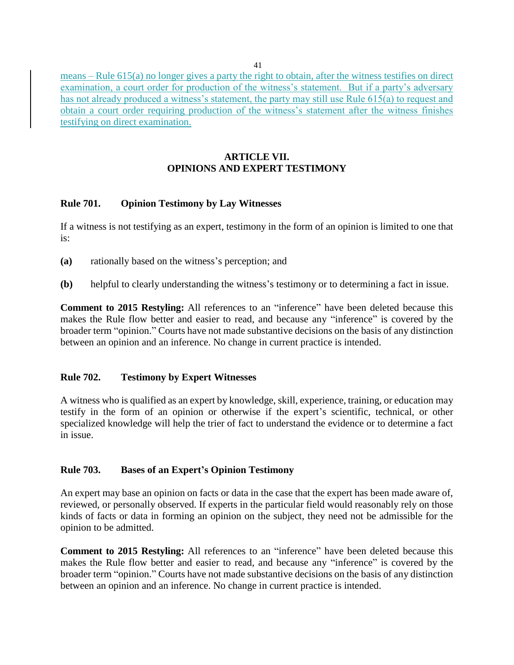<span id="page-40-0"></span>means – Rule 615(a) no longer gives a party the right to obtain, after the witness testifies on direct examination, a court order for production of the witness's statement. But if a party's adversary has not already produced a witness's statement, the party may still use Rule 615(a) to request and obtain a court order requiring production of the witness's statement after the witness finishes testifying on direct examination.

# **ARTICLE VII. OPINIONS AND EXPERT TESTIMONY**

# **Rule 701. Opinion Testimony by Lay Witnesses**

If a witness is not testifying as an expert, testimony in the form of an opinion is limited to one that is:

- **(a)** rationally based on the witness's perception; and
- **(b)** helpful to clearly understanding the witness's testimony or to determining a fact in issue.

**Comment to 2015 Restyling:** All references to an "inference" have been deleted because this makes the Rule flow better and easier to read, and because any "inference" is covered by the broader term "opinion." Courts have not made substantive decisions on the basis of any distinction between an opinion and an inference. No change in current practice is intended.

## **Rule 702. Testimony by Expert Witnesses**

A witness who is qualified as an expert by knowledge, skill, experience, training, or education may testify in the form of an opinion or otherwise if the expert's scientific, technical, or other specialized knowledge will help the trier of fact to understand the evidence or to determine a fact in issue.

## **Rule 703. Bases of an Expert's Opinion Testimony**

An expert may base an opinion on facts or data in the case that the expert has been made aware of, reviewed, or personally observed. If experts in the particular field would reasonably rely on those kinds of facts or data in forming an opinion on the subject, they need not be admissible for the opinion to be admitted.

**Comment to 2015 Restyling:** All references to an "inference" have been deleted because this makes the Rule flow better and easier to read, and because any "inference" is covered by the broader term "opinion." Courts have not made substantive decisions on the basis of any distinction between an opinion and an inference. No change in current practice is intended.

41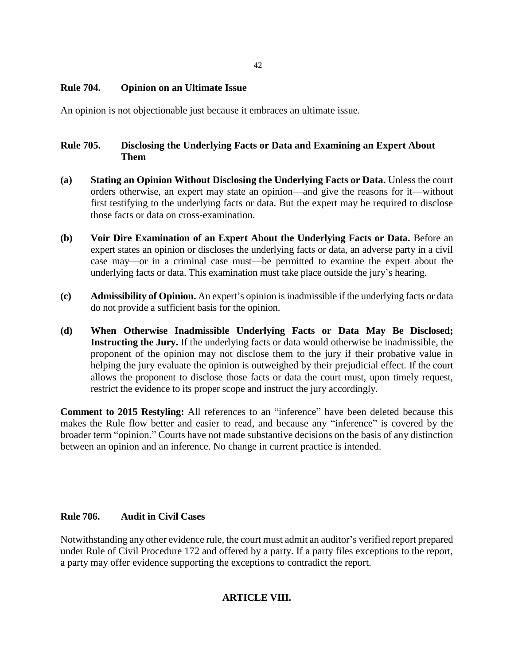## <span id="page-41-0"></span>**Rule 704. Opinion on an Ultimate Issue**

An opinion is not objectionable just because it embraces an ultimate issue.

## **Rule 705. Disclosing the Underlying Facts or Data and Examining an Expert About Them**

- **(a) Stating an Opinion Without Disclosing the Underlying Facts or Data.** Unless the court orders otherwise, an expert may state an opinion—and give the reasons for it—without first testifying to the underlying facts or data. But the expert may be required to disclose those facts or data on cross-examination.
- **(b) Voir Dire Examination of an Expert About the Underlying Facts or Data.** Before an expert states an opinion or discloses the underlying facts or data, an adverse party in a civil case may—or in a criminal case must—be permitted to examine the expert about the underlying facts or data. This examination must take place outside the jury's hearing.
- **(c) Admissibility of Opinion.** An expert's opinion is inadmissible if the underlying facts or data do not provide a sufficient basis for the opinion.
- **(d) When Otherwise Inadmissible Underlying Facts or Data May Be Disclosed; Instructing the Jury.** If the underlying facts or data would otherwise be inadmissible, the proponent of the opinion may not disclose them to the jury if their probative value in helping the jury evaluate the opinion is outweighed by their prejudicial effect. If the court allows the proponent to disclose those facts or data the court must, upon timely request, restrict the evidence to its proper scope and instruct the jury accordingly.

**Comment to 2015 Restyling:** All references to an "inference" have been deleted because this makes the Rule flow better and easier to read, and because any "inference" is covered by the broader term "opinion." Courts have not made substantive decisions on the basis of any distinction between an opinion and an inference. No change in current practice is intended.

### **Rule 706. Audit in Civil Cases**

Notwithstanding any other evidence rule, the court must admit an auditor's verified report prepared under Rule of Civil Procedure 172 and offered by a party. If a party files exceptions to the report, a party may offer evidence supporting the exceptions to contradict the report.

## **ARTICLE VIII.**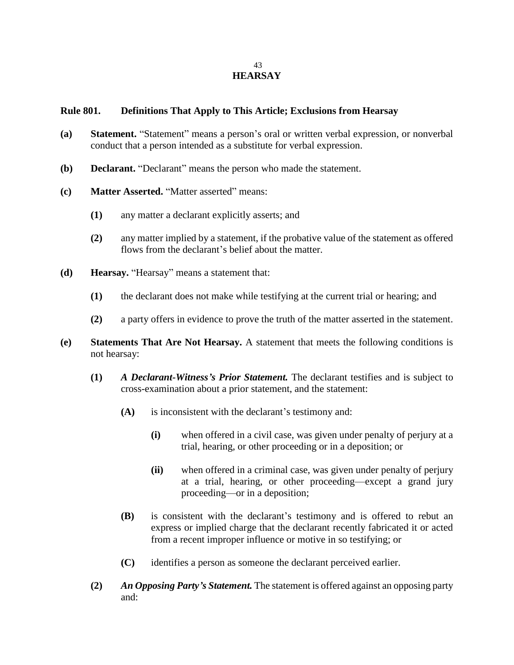## <span id="page-42-0"></span>**Rule 801. Definitions That Apply to This Article; Exclusions from Hearsay**

- **(a) Statement.** "Statement" means a person's oral or written verbal expression, or nonverbal conduct that a person intended as a substitute for verbal expression.
- **(b) Declarant.** "Declarant" means the person who made the statement.
- **(c) Matter Asserted.** "Matter asserted" means:
	- **(1)** any matter a declarant explicitly asserts; and
	- **(2)** any matter implied by a statement, if the probative value of the statement as offered flows from the declarant's belief about the matter.
- **(d) Hearsay.** "Hearsay" means a statement that:
	- **(1)** the declarant does not make while testifying at the current trial or hearing; and
	- **(2)** a party offers in evidence to prove the truth of the matter asserted in the statement.
- **(e) Statements That Are Not Hearsay.** A statement that meets the following conditions is not hearsay:
	- **(1)** *A Declarant-Witness's Prior Statement.* The declarant testifies and is subject to cross-examination about a prior statement, and the statement:
		- **(A)** is inconsistent with the declarant's testimony and:
			- **(i)** when offered in a civil case, was given under penalty of perjury at a trial, hearing, or other proceeding or in a deposition; or
			- **(ii)** when offered in a criminal case, was given under penalty of perjury at a trial, hearing, or other proceeding—except a grand jury proceeding—or in a deposition;
		- **(B)** is consistent with the declarant's testimony and is offered to rebut an express or implied charge that the declarant recently fabricated it or acted from a recent improper influence or motive in so testifying; or
		- **(C)** identifies a person as someone the declarant perceived earlier.
	- **(2)** *An Opposing Party's Statement.* The statement is offered against an opposing party and: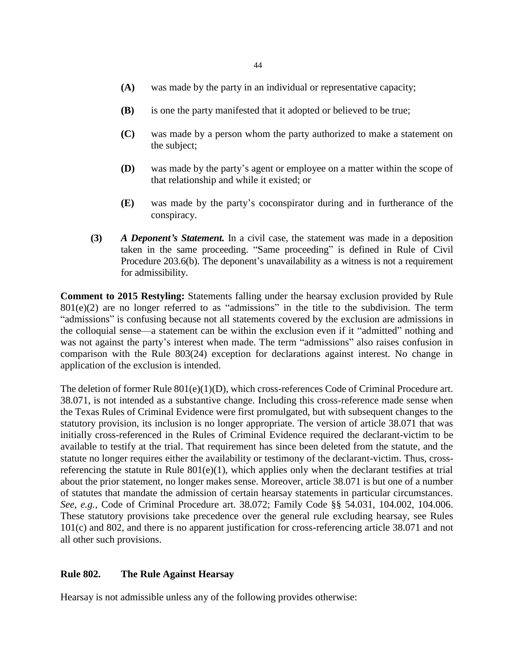- <span id="page-43-0"></span>**(A)** was made by the party in an individual or representative capacity;
- **(B)** is one the party manifested that it adopted or believed to be true;
- **(C)** was made by a person whom the party authorized to make a statement on the subject;
- **(D)** was made by the party's agent or employee on a matter within the scope of that relationship and while it existed; or
- **(E)** was made by the party's coconspirator during and in furtherance of the conspiracy.
- **(3)** *A Deponent's Statement.* In a civil case, the statement was made in a deposition taken in the same proceeding. "Same proceeding" is defined in Rule of Civil Procedure 203.6(b). The deponent's unavailability as a witness is not a requirement for admissibility.

**Comment to 2015 Restyling:** Statements falling under the hearsay exclusion provided by Rule  $801(e)(2)$  are no longer referred to as "admissions" in the title to the subdivision. The term "admissions" is confusing because not all statements covered by the exclusion are admissions in the colloquial sense—a statement can be within the exclusion even if it "admitted" nothing and was not against the party's interest when made. The term "admissions" also raises confusion in comparison with the Rule 803(24) exception for declarations against interest. No change in application of the exclusion is intended.

The deletion of former Rule 801(e)(1)(D), which cross-references Code of Criminal Procedure art. 38.071, is not intended as a substantive change. Including this cross-reference made sense when the Texas Rules of Criminal Evidence were first promulgated, but with subsequent changes to the statutory provision, its inclusion is no longer appropriate. The version of article 38.071 that was initially cross-referenced in the Rules of Criminal Evidence required the declarant-victim to be available to testify at the trial. That requirement has since been deleted from the statute, and the statute no longer requires either the availability or testimony of the declarant-victim. Thus, crossreferencing the statute in Rule 801(e)(1), which applies only when the declarant testifies at trial about the prior statement, no longer makes sense. Moreover, article 38.071 is but one of a number of statutes that mandate the admission of certain hearsay statements in particular circumstances. *See, e.g.*, Code of Criminal Procedure art. 38.072; Family Code §§ 54.031, 104.002, 104.006. These statutory provisions take precedence over the general rule excluding hearsay, see Rules 101(c) and 802, and there is no apparent justification for cross-referencing article 38.071 and not all other such provisions.

### **Rule 802. The Rule Against Hearsay**

Hearsay is not admissible unless any of the following provides otherwise: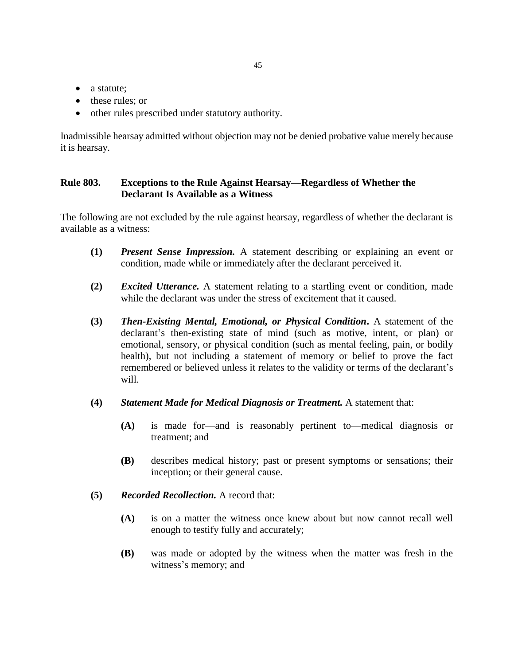- <span id="page-44-0"></span>• a statute;
- these rules; or
- other rules prescribed under statutory authority.

Inadmissible hearsay admitted without objection may not be denied probative value merely because it is hearsay.

## **Rule 803. Exceptions to the Rule Against Hearsay—Regardless of Whether the Declarant Is Available as a Witness**

The following are not excluded by the rule against hearsay, regardless of whether the declarant is available as a witness:

- **(1)** *Present Sense Impression.* A statement describing or explaining an event or condition, made while or immediately after the declarant perceived it.
- **(2)** *Excited Utterance.* A statement relating to a startling event or condition, made while the declarant was under the stress of excitement that it caused.
- **(3)** *Then-Existing Mental, Emotional, or Physical Condition***.** A statement of the declarant's then-existing state of mind (such as motive, intent, or plan) or emotional, sensory, or physical condition (such as mental feeling, pain, or bodily health), but not including a statement of memory or belief to prove the fact remembered or believed unless it relates to the validity or terms of the declarant's will.
- **(4)** *Statement Made for Medical Diagnosis or Treatment.* A statement that:
	- **(A)** is made for—and is reasonably pertinent to—medical diagnosis or treatment; and
	- **(B)** describes medical history; past or present symptoms or sensations; their inception; or their general cause.
- **(5)** *Recorded Recollection.* A record that:
	- **(A)** is on a matter the witness once knew about but now cannot recall well enough to testify fully and accurately;
	- **(B)** was made or adopted by the witness when the matter was fresh in the witness's memory; and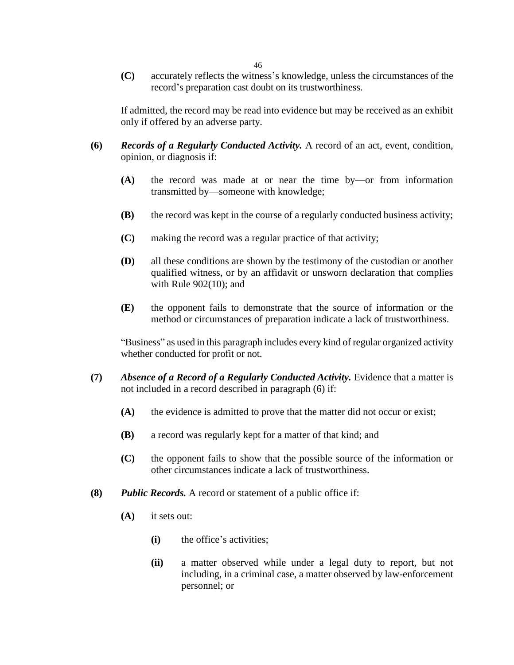**(C)** accurately reflects the witness's knowledge, unless the circumstances of the record's preparation cast doubt on its trustworthiness.

If admitted, the record may be read into evidence but may be received as an exhibit only if offered by an adverse party.

- **(6)** *Records of a Regularly Conducted Activity.* A record of an act, event, condition, opinion, or diagnosis if:
	- **(A)** the record was made at or near the time by—or from information transmitted by—someone with knowledge;
	- **(B)** the record was kept in the course of a regularly conducted business activity;
	- **(C)** making the record was a regular practice of that activity;
	- **(D)** all these conditions are shown by the testimony of the custodian or another qualified witness, or by an affidavit or unsworn declaration that complies with Rule 902(10); and
	- **(E)** the opponent fails to demonstrate that the source of information or the method or circumstances of preparation indicate a lack of trustworthiness.

"Business" as used in this paragraph includes every kind of regular organized activity whether conducted for profit or not.

- **(7)** *Absence of a Record of a Regularly Conducted Activity.* Evidence that a matter is not included in a record described in paragraph (6) if:
	- **(A)** the evidence is admitted to prove that the matter did not occur or exist;
	- **(B)** a record was regularly kept for a matter of that kind; and
	- **(C)** the opponent fails to show that the possible source of the information or other circumstances indicate a lack of trustworthiness.
- **(8)** *Public Records.* A record or statement of a public office if:
	- **(A)** it sets out:
		- **(i)** the office's activities;
		- **(ii)** a matter observed while under a legal duty to report, but not including, in a criminal case, a matter observed by law-enforcement personnel; or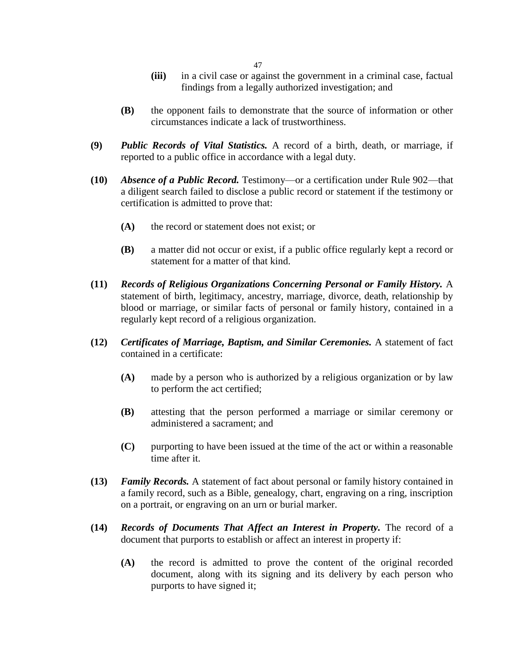47

- **(iii)** in a civil case or against the government in a criminal case, factual findings from a legally authorized investigation; and
- **(B)** the opponent fails to demonstrate that the source of information or other circumstances indicate a lack of trustworthiness.
- **(9)** *Public Records of Vital Statistics.* A record of a birth, death, or marriage, if reported to a public office in accordance with a legal duty.
- **(10)** *Absence of a Public Record.* Testimony—or a certification under Rule 902—that a diligent search failed to disclose a public record or statement if the testimony or certification is admitted to prove that:
	- **(A)** the record or statement does not exist; or
	- **(B)** a matter did not occur or exist, if a public office regularly kept a record or statement for a matter of that kind.
- **(11)** *Records of Religious Organizations Concerning Personal or Family History.* A statement of birth, legitimacy, ancestry, marriage, divorce, death, relationship by blood or marriage, or similar facts of personal or family history, contained in a regularly kept record of a religious organization.
- **(12)** *Certificates of Marriage, Baptism, and Similar Ceremonies.* A statement of fact contained in a certificate:
	- **(A)** made by a person who is authorized by a religious organization or by law to perform the act certified;
	- **(B)** attesting that the person performed a marriage or similar ceremony or administered a sacrament; and
	- **(C)** purporting to have been issued at the time of the act or within a reasonable time after it.
- **(13)** *Family Records.* A statement of fact about personal or family history contained in a family record, such as a Bible, genealogy, chart, engraving on a ring, inscription on a portrait, or engraving on an urn or burial marker.
- **(14)** *Records of Documents That Affect an Interest in Property.* The record of a document that purports to establish or affect an interest in property if:
	- **(A)** the record is admitted to prove the content of the original recorded document, along with its signing and its delivery by each person who purports to have signed it;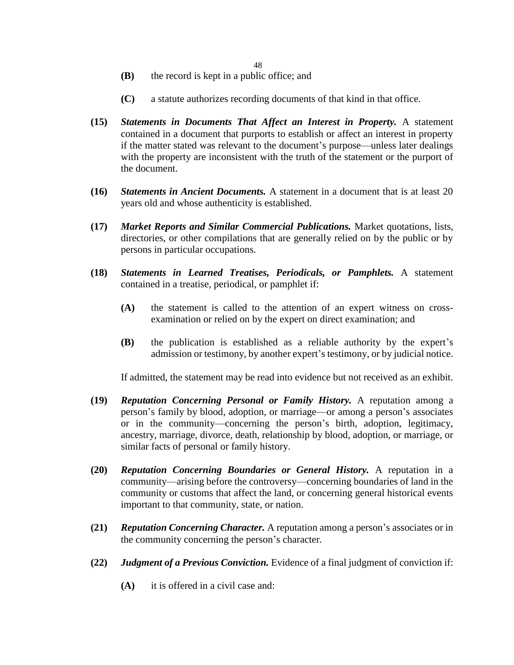- **(B)** the record is kept in a public office; and
- **(C)** a statute authorizes recording documents of that kind in that office.
- **(15)** *Statements in Documents That Affect an Interest in Property.* A statement contained in a document that purports to establish or affect an interest in property if the matter stated was relevant to the document's purpose—unless later dealings with the property are inconsistent with the truth of the statement or the purport of the document.
- **(16)** *Statements in Ancient Documents.* A statement in a document that is at least 20 years old and whose authenticity is established.
- **(17)** *Market Reports and Similar Commercial Publications.* Market quotations, lists, directories, or other compilations that are generally relied on by the public or by persons in particular occupations.
- **(18)** *Statements in Learned Treatises, Periodicals, or Pamphlets.* A statement contained in a treatise, periodical, or pamphlet if:
	- **(A)** the statement is called to the attention of an expert witness on crossexamination or relied on by the expert on direct examination; and
	- **(B)** the publication is established as a reliable authority by the expert's admission or testimony, by another expert's testimony, or by judicial notice.

If admitted, the statement may be read into evidence but not received as an exhibit.

- **(19)** *Reputation Concerning Personal or Family History.* A reputation among a person's family by blood, adoption, or marriage—or among a person's associates or in the community—concerning the person's birth, adoption, legitimacy, ancestry, marriage, divorce, death, relationship by blood, adoption, or marriage, or similar facts of personal or family history.
- **(20)** *Reputation Concerning Boundaries or General History.* A reputation in a community—arising before the controversy—concerning boundaries of land in the community or customs that affect the land, or concerning general historical events important to that community, state, or nation.
- **(21)** *Reputation Concerning Character.* A reputation among a person's associates or in the community concerning the person's character.
- **(22)** *Judgment of a Previous Conviction.* Evidence of a final judgment of conviction if:
	- **(A)** it is offered in a civil case and: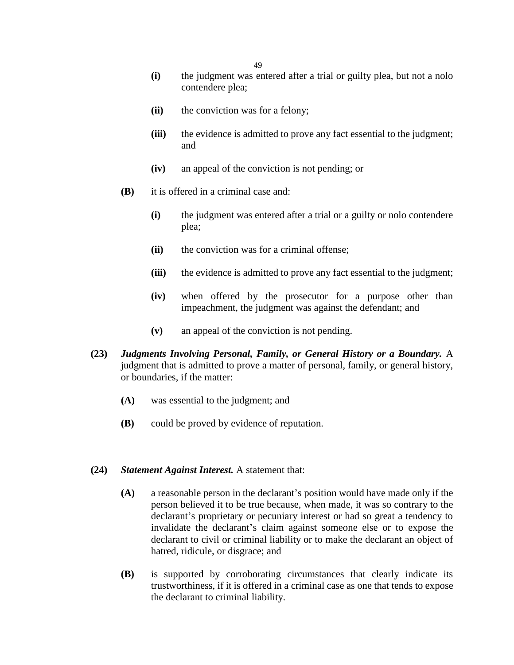49

- **(i)** the judgment was entered after a trial or guilty plea, but not a nolo contendere plea;
- **(ii)** the conviction was for a felony;
- **(iii)** the evidence is admitted to prove any fact essential to the judgment; and
- **(iv)** an appeal of the conviction is not pending; or
- **(B)** it is offered in a criminal case and:
	- **(i)** the judgment was entered after a trial or a guilty or nolo contendere plea;
	- **(ii)** the conviction was for a criminal offense;
	- **(iii)** the evidence is admitted to prove any fact essential to the judgment;
	- **(iv)** when offered by the prosecutor for a purpose other than impeachment, the judgment was against the defendant; and
	- **(v)** an appeal of the conviction is not pending.
- **(23)** *Judgments Involving Personal, Family, or General History or a Boundary.* A judgment that is admitted to prove a matter of personal, family, or general history, or boundaries, if the matter:
	- **(A)** was essential to the judgment; and
	- **(B)** could be proved by evidence of reputation.

### **(24)** *Statement Against Interest.* A statement that:

- **(A)** a reasonable person in the declarant's position would have made only if the person believed it to be true because, when made, it was so contrary to the declarant's proprietary or pecuniary interest or had so great a tendency to invalidate the declarant's claim against someone else or to expose the declarant to civil or criminal liability or to make the declarant an object of hatred, ridicule, or disgrace; and
- **(B)** is supported by corroborating circumstances that clearly indicate its trustworthiness, if it is offered in a criminal case as one that tends to expose the declarant to criminal liability.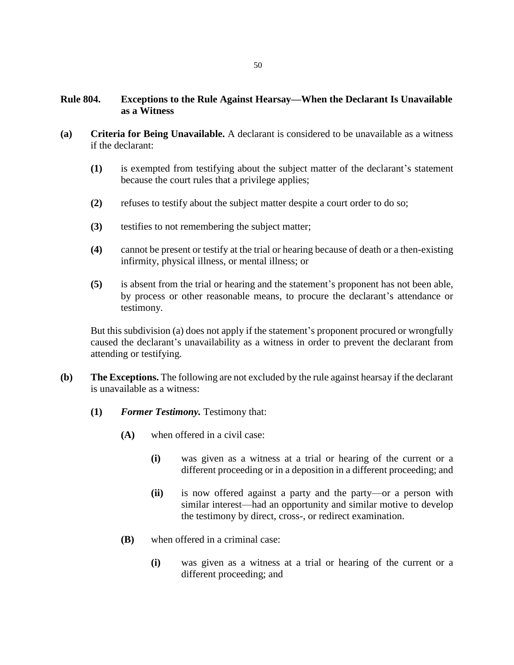### <span id="page-49-0"></span>**Rule 804. Exceptions to the Rule Against Hearsay—When the Declarant Is Unavailable as a Witness**

- **(a) Criteria for Being Unavailable.** A declarant is considered to be unavailable as a witness if the declarant:
	- **(1)** is exempted from testifying about the subject matter of the declarant's statement because the court rules that a privilege applies;
	- **(2)** refuses to testify about the subject matter despite a court order to do so;
	- **(3)** testifies to not remembering the subject matter;
	- **(4)** cannot be present or testify at the trial or hearing because of death or a then-existing infirmity, physical illness, or mental illness; or
	- **(5)** is absent from the trial or hearing and the statement's proponent has not been able, by process or other reasonable means, to procure the declarant's attendance or testimony.

But this subdivision (a) does not apply if the statement's proponent procured or wrongfully caused the declarant's unavailability as a witness in order to prevent the declarant from attending or testifying.

- **(b) The Exceptions.** The following are not excluded by the rule against hearsay if the declarant is unavailable as a witness:
	- **(1)** *Former Testimony.* Testimony that:
		- **(A)** when offered in a civil case:
			- **(i)** was given as a witness at a trial or hearing of the current or a different proceeding or in a deposition in a different proceeding; and
			- **(ii)** is now offered against a party and the party—or a person with similar interest—had an opportunity and similar motive to develop the testimony by direct, cross-, or redirect examination.
		- **(B)** when offered in a criminal case:
			- **(i)** was given as a witness at a trial or hearing of the current or a different proceeding; and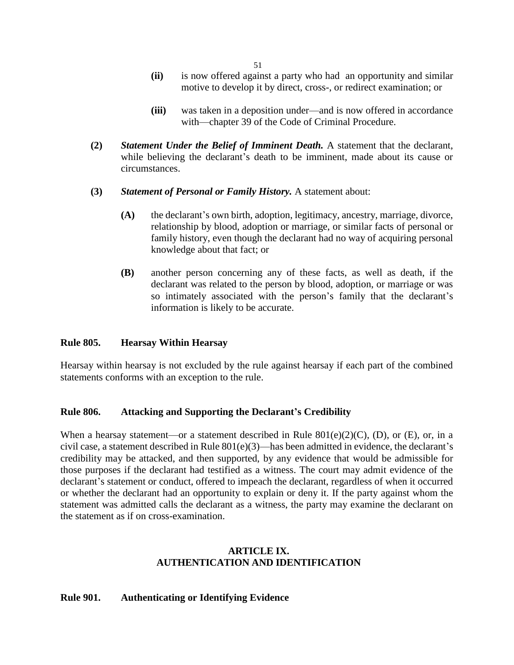51

- **(ii)** is now offered against a party who had an opportunity and similar motive to develop it by direct, cross-, or redirect examination; or
- **(iii)** was taken in a deposition under—and is now offered in accordance with—chapter 39 of the Code of Criminal Procedure.
- <span id="page-50-0"></span>**(2)** *Statement Under the Belief of Imminent Death.* A statement that the declarant, while believing the declarant's death to be imminent, made about its cause or circumstances.
- **(3)** *Statement of Personal or Family History.* A statement about:
	- **(A)** the declarant's own birth, adoption, legitimacy, ancestry, marriage, divorce, relationship by blood, adoption or marriage, or similar facts of personal or family history, even though the declarant had no way of acquiring personal knowledge about that fact; or
	- **(B)** another person concerning any of these facts, as well as death, if the declarant was related to the person by blood, adoption, or marriage or was so intimately associated with the person's family that the declarant's information is likely to be accurate.

## **Rule 805. Hearsay Within Hearsay**

Hearsay within hearsay is not excluded by the rule against hearsay if each part of the combined statements conforms with an exception to the rule.

## **Rule 806. Attacking and Supporting the Declarant's Credibility**

When a hearsay statement—or a statement described in Rule  $801(e)(2)(C)$ , (D), or (E), or, in a civil case, a statement described in Rule  $801(e)(3)$ —has been admitted in evidence, the declarant's credibility may be attacked, and then supported, by any evidence that would be admissible for those purposes if the declarant had testified as a witness. The court may admit evidence of the declarant's statement or conduct, offered to impeach the declarant, regardless of when it occurred or whether the declarant had an opportunity to explain or deny it. If the party against whom the statement was admitted calls the declarant as a witness, the party may examine the declarant on the statement as if on cross-examination.

# **ARTICLE IX. AUTHENTICATION AND IDENTIFICATION**

## **Rule 901. Authenticating or Identifying Evidence**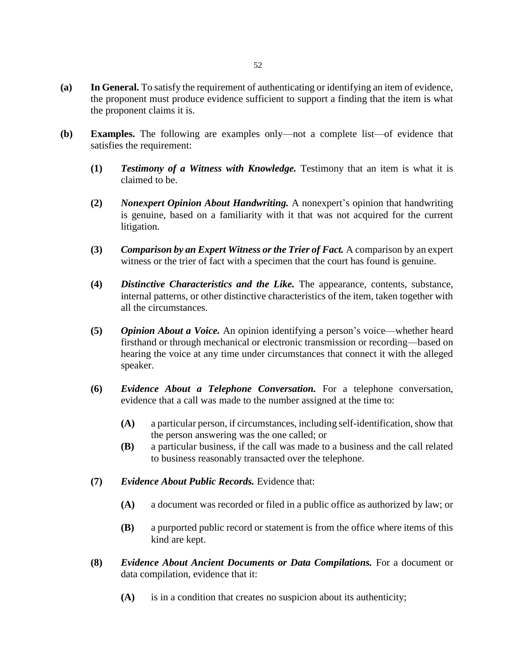- **(a) In General.** To satisfy the requirement of authenticating or identifying an item of evidence, the proponent must produce evidence sufficient to support a finding that the item is what the proponent claims it is.
- **(b) Examples.** The following are examples only—not a complete list—of evidence that satisfies the requirement:
	- **(1)** *Testimony of a Witness with Knowledge.* Testimony that an item is what it is claimed to be.
	- **(2)** *Nonexpert Opinion About Handwriting.* A nonexpert's opinion that handwriting is genuine, based on a familiarity with it that was not acquired for the current litigation.
	- **(3)** *Comparison by an Expert Witness or the Trier of Fact.* A comparison by an expert witness or the trier of fact with a specimen that the court has found is genuine.
	- **(4)** *Distinctive Characteristics and the Like.* The appearance, contents, substance, internal patterns, or other distinctive characteristics of the item, taken together with all the circumstances.
	- **(5)** *Opinion About a Voice.* An opinion identifying a person's voice—whether heard firsthand or through mechanical or electronic transmission or recording—based on hearing the voice at any time under circumstances that connect it with the alleged speaker.
	- **(6)** *Evidence About a Telephone Conversation.* For a telephone conversation, evidence that a call was made to the number assigned at the time to:
		- **(A)** a particular person, if circumstances, including self-identification, show that the person answering was the one called; or
		- **(B)** a particular business, if the call was made to a business and the call related to business reasonably transacted over the telephone.
	- **(7)** *Evidence About Public Records.* Evidence that:
		- **(A)** a document was recorded or filed in a public office as authorized by law; or
		- **(B)** a purported public record or statement is from the office where items of this kind are kept.
	- **(8)** *Evidence About Ancient Documents or Data Compilations.* For a document or data compilation, evidence that it:
		- **(A)** is in a condition that creates no suspicion about its authenticity;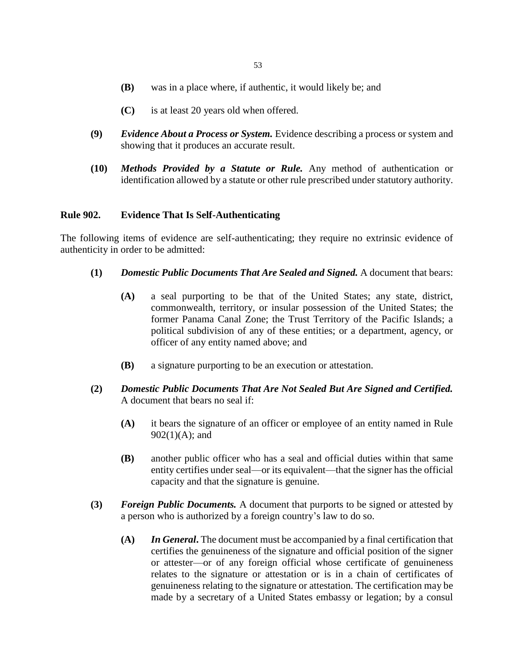- <span id="page-52-0"></span>**(B)** was in a place where, if authentic, it would likely be; and
- **(C)** is at least 20 years old when offered.
- **(9)** *Evidence About a Process or System.* Evidence describing a process or system and showing that it produces an accurate result.
- **(10)** *Methods Provided by a Statute or Rule.* Any method of authentication or identification allowed by a statute or other rule prescribed under statutory authority.

#### **Rule 902. Evidence That Is Self-Authenticating**

The following items of evidence are self-authenticating; they require no extrinsic evidence of authenticity in order to be admitted:

- **(1)** *Domestic Public Documents That Are Sealed and Signed.* A document that bears:
	- **(A)** a seal purporting to be that of the United States; any state, district, commonwealth, territory, or insular possession of the United States; the former Panama Canal Zone; the Trust Territory of the Pacific Islands; a political subdivision of any of these entities; or a department, agency, or officer of any entity named above; and
	- **(B)** a signature purporting to be an execution or attestation.
- **(2)** *Domestic Public Documents That Are Not Sealed But Are Signed and Certified.*  A document that bears no seal if:
	- **(A)** it bears the signature of an officer or employee of an entity named in Rule 902(1)(A); and
	- **(B)** another public officer who has a seal and official duties within that same entity certifies under seal—or its equivalent—that the signer has the official capacity and that the signature is genuine.
- **(3)** *Foreign Public Documents.* A document that purports to be signed or attested by a person who is authorized by a foreign country's law to do so.
	- **(A)** *In General***.** The document must be accompanied by a final certification that certifies the genuineness of the signature and official position of the signer or attester—or of any foreign official whose certificate of genuineness relates to the signature or attestation or is in a chain of certificates of genuineness relating to the signature or attestation. The certification may be made by a secretary of a United States embassy or legation; by a consul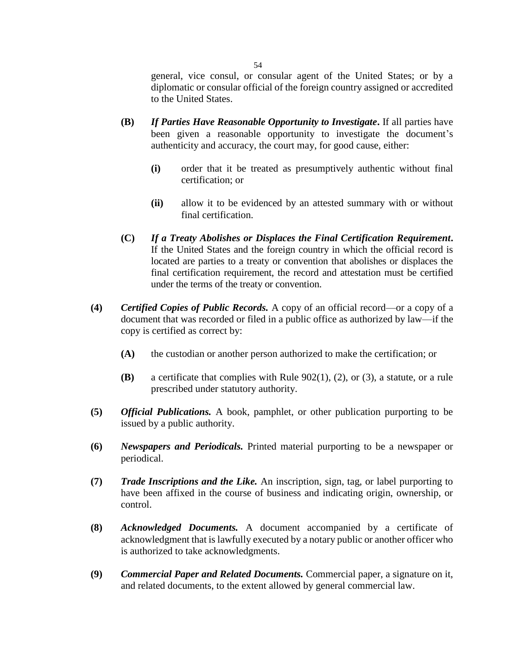general, vice consul, or consular agent of the United States; or by a diplomatic or consular official of the foreign country assigned or accredited to the United States.

- **(B)** *If Parties Have Reasonable Opportunity to Investigate***.** If all parties have been given a reasonable opportunity to investigate the document's authenticity and accuracy, the court may, for good cause, either:
	- **(i)** order that it be treated as presumptively authentic without final certification; or
	- **(ii)** allow it to be evidenced by an attested summary with or without final certification.
- **(C)** *If a Treaty Abolishes or Displaces the Final Certification Requirement***.**  If the United States and the foreign country in which the official record is located are parties to a treaty or convention that abolishes or displaces the final certification requirement, the record and attestation must be certified under the terms of the treaty or convention.
- **(4)** *Certified Copies of Public Records.* A copy of an official record—or a copy of a document that was recorded or filed in a public office as authorized by law—if the copy is certified as correct by:
	- **(A)** the custodian or another person authorized to make the certification; or
	- **(B)** a certificate that complies with Rule 902(1), (2), or (3), a statute, or a rule prescribed under statutory authority.
- **(5)** *Official Publications.* A book, pamphlet, or other publication purporting to be issued by a public authority.
- **(6)** *Newspapers and Periodicals.* Printed material purporting to be a newspaper or periodical.
- **(7)** *Trade Inscriptions and the Like.* An inscription, sign, tag, or label purporting to have been affixed in the course of business and indicating origin, ownership, or control.
- **(8)** *Acknowledged Documents.* A document accompanied by a certificate of acknowledgment that is lawfully executed by a notary public or another officer who is authorized to take acknowledgments.
- **(9)** *Commercial Paper and Related Documents.* Commercial paper, a signature on it, and related documents, to the extent allowed by general commercial law.

54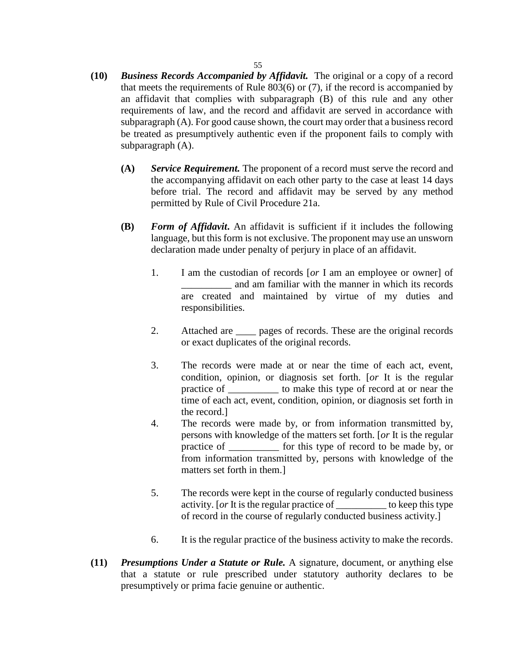- **(10)** *Business Records Accompanied by Affidavit.* The original or a copy of a record that meets the requirements of Rule 803(6) or (7), if the record is accompanied by an affidavit that complies with subparagraph (B) of this rule and any other requirements of law, and the record and affidavit are served in accordance with subparagraph (A). For good cause shown, the court may order that a business record be treated as presumptively authentic even if the proponent fails to comply with subparagraph (A).
	- **(A)** *Service Requirement.* The proponent of a record must serve the record and the accompanying affidavit on each other party to the case at least 14 days before trial. The record and affidavit may be served by any method permitted by Rule of Civil Procedure 21a.
	- **(B)** *Form of Affidavit***.** An affidavit is sufficient if it includes the following language, but this form is not exclusive. The proponent may use an unsworn declaration made under penalty of perjury in place of an affidavit.
		- 1. I am the custodian of records [*or* I am an employee or owner] of and am familiar with the manner in which its records are created and maintained by virtue of my duties and responsibilities.
		- 2. Attached are same pages of records. These are the original records or exact duplicates of the original records.
		- 3. The records were made at or near the time of each act, event, condition, opinion, or diagnosis set forth. [*or* It is the regular practice of \_\_\_\_\_\_\_\_\_\_ to make this type of record at or near the time of each act, event, condition, opinion, or diagnosis set forth in the record.]
		- 4. The records were made by, or from information transmitted by, persons with knowledge of the matters set forth. [*or* It is the regular practice of \_\_\_\_\_\_\_\_\_\_ for this type of record to be made by, or from information transmitted by, persons with knowledge of the matters set forth in them.]
		- 5. The records were kept in the course of regularly conducted business activity. [*or* It is the regular practice of \_\_\_\_\_\_\_\_\_\_ to keep this type of record in the course of regularly conducted business activity.]
		- 6. It is the regular practice of the business activity to make the records.
- **(11)** *Presumptions Under a Statute or Rule.* A signature, document, or anything else that a statute or rule prescribed under statutory authority declares to be presumptively or prima facie genuine or authentic.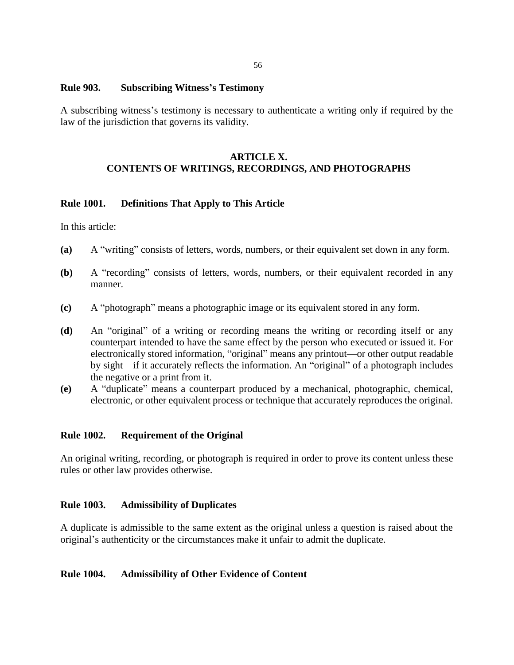#### <span id="page-55-0"></span>**Rule 903. Subscribing Witness's Testimony**

A subscribing witness's testimony is necessary to authenticate a writing only if required by the law of the jurisdiction that governs its validity.

## **ARTICLE X. CONTENTS OF WRITINGS, RECORDINGS, AND PHOTOGRAPHS**

### **Rule 1001. Definitions That Apply to This Article**

In this article:

- **(a)** A "writing" consists of letters, words, numbers, or their equivalent set down in any form.
- **(b)** A "recording" consists of letters, words, numbers, or their equivalent recorded in any manner.
- **(c)** A "photograph" means a photographic image or its equivalent stored in any form.
- **(d)** An "original" of a writing or recording means the writing or recording itself or any counterpart intended to have the same effect by the person who executed or issued it. For electronically stored information, "original" means any printout—or other output readable by sight—if it accurately reflects the information. An "original" of a photograph includes the negative or a print from it.
- **(e)** A "duplicate" means a counterpart produced by a mechanical, photographic, chemical, electronic, or other equivalent process or technique that accurately reproduces the original.

### **Rule 1002. Requirement of the Original**

An original writing, recording, or photograph is required in order to prove its content unless these rules or other law provides otherwise.

### **Rule 1003. Admissibility of Duplicates**

A duplicate is admissible to the same extent as the original unless a question is raised about the original's authenticity or the circumstances make it unfair to admit the duplicate.

### **Rule 1004. Admissibility of Other Evidence of Content**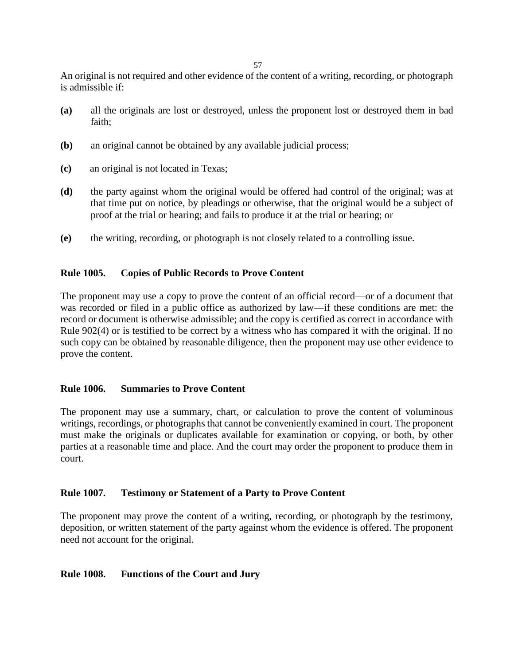57

<span id="page-56-0"></span>An original is not required and other evidence of the content of a writing, recording, or photograph is admissible if:

- **(a)** all the originals are lost or destroyed, unless the proponent lost or destroyed them in bad faith;
- **(b)** an original cannot be obtained by any available judicial process;
- **(c)** an original is not located in Texas;
- **(d)** the party against whom the original would be offered had control of the original; was at that time put on notice, by pleadings or otherwise, that the original would be a subject of proof at the trial or hearing; and fails to produce it at the trial or hearing; or
- **(e)** the writing, recording, or photograph is not closely related to a controlling issue.

## **Rule 1005. Copies of Public Records to Prove Content**

The proponent may use a copy to prove the content of an official record—or of a document that was recorded or filed in a public office as authorized by law—if these conditions are met: the record or document is otherwise admissible; and the copy is certified as correct in accordance with Rule 902(4) or is testified to be correct by a witness who has compared it with the original. If no such copy can be obtained by reasonable diligence, then the proponent may use other evidence to prove the content.

## **Rule 1006. Summaries to Prove Content**

The proponent may use a summary, chart, or calculation to prove the content of voluminous writings, recordings, or photographs that cannot be conveniently examined in court. The proponent must make the originals or duplicates available for examination or copying, or both, by other parties at a reasonable time and place. And the court may order the proponent to produce them in court.

# **Rule 1007. Testimony or Statement of a Party to Prove Content**

The proponent may prove the content of a writing, recording, or photograph by the testimony, deposition, or written statement of the party against whom the evidence is offered. The proponent need not account for the original.

## **Rule 1008. Functions of the Court and Jury**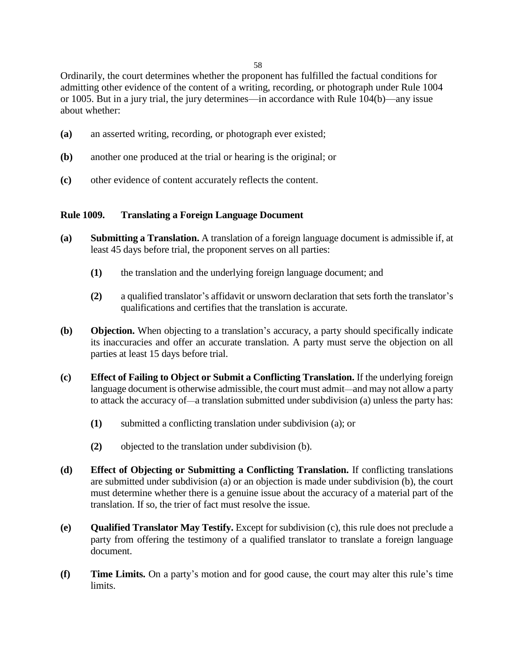58

<span id="page-57-0"></span>Ordinarily, the court determines whether the proponent has fulfilled the factual conditions for admitting other evidence of the content of a writing, recording, or photograph under Rule 1004 or 1005. But in a jury trial, the jury determines—in accordance with Rule 104(b)—any issue about whether:

- **(a)** an asserted writing, recording, or photograph ever existed;
- **(b)** another one produced at the trial or hearing is the original; or
- **(c)** other evidence of content accurately reflects the content.

## **Rule 1009. Translating a Foreign Language Document**

- **(a) Submitting a Translation.** A translation of a foreign language document is admissible if, at least 45 days before trial, the proponent serves on all parties:
	- **(1)** the translation and the underlying foreign language document; and
	- **(2)** a qualified translator's affidavit or unsworn declaration that sets forth the translator's qualifications and certifies that the translation is accurate.
- **(b) Objection.** When objecting to a translation's accuracy, a party should specifically indicate its inaccuracies and offer an accurate translation. A party must serve the objection on all parties at least 15 days before trial.
- **(c) Effect of Failing to Object or Submit a Conflicting Translation.** If the underlying foreign language document is otherwise admissible, the court must admit—and may not allow a party to attack the accuracy of—a translation submitted under subdivision (a) unless the party has:
	- **(1)** submitted a conflicting translation under subdivision (a); or
	- **(2)** objected to the translation under subdivision (b).
- **(d) Effect of Objecting or Submitting a Conflicting Translation.** If conflicting translations are submitted under subdivision (a) or an objection is made under subdivision (b), the court must determine whether there is a genuine issue about the accuracy of a material part of the translation. If so, the trier of fact must resolve the issue.
- **(e) Qualified Translator May Testify.** Except for subdivision (c), this rule does not preclude a party from offering the testimony of a qualified translator to translate a foreign language document.
- **(f) Time Limits.** On a party's motion and for good cause, the court may alter this rule's time limits.